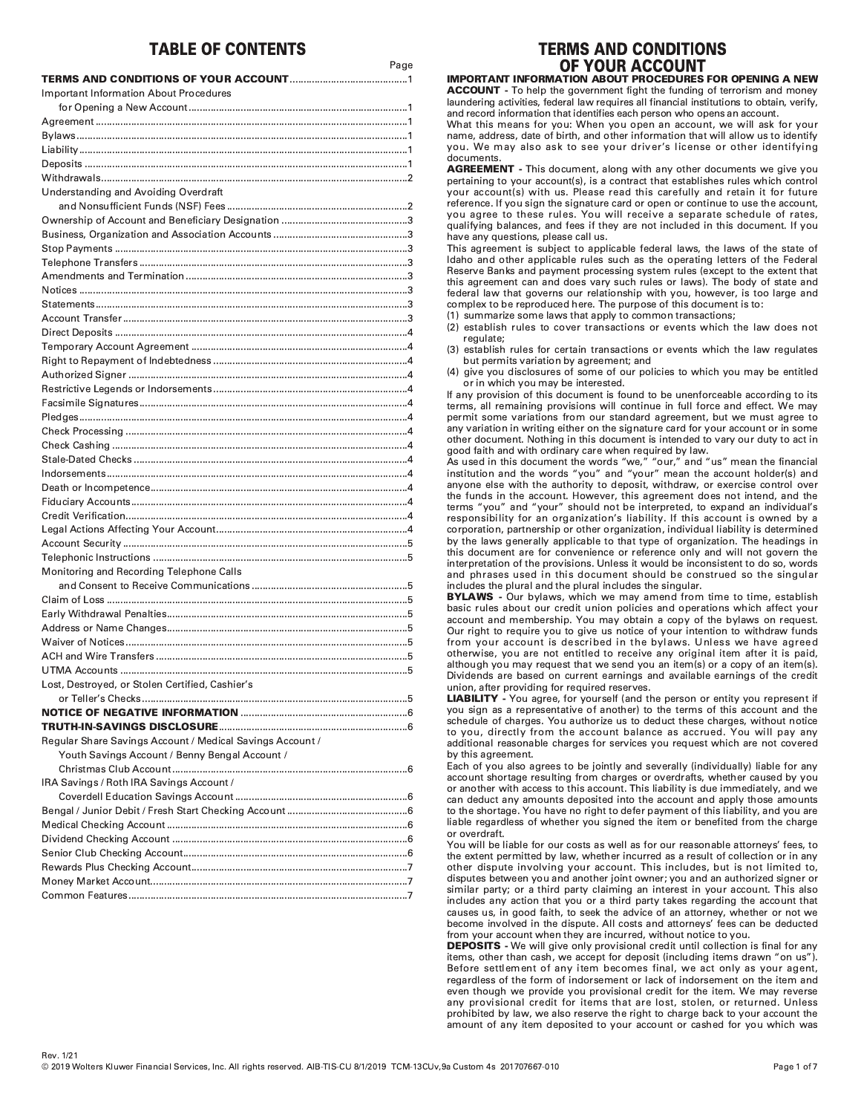# **TABLE OF CONTENTS**

| <b>Important Information About Procedures</b>             |
|-----------------------------------------------------------|
|                                                           |
|                                                           |
|                                                           |
|                                                           |
|                                                           |
|                                                           |
| Understanding and Avoiding Overdraft                      |
|                                                           |
|                                                           |
|                                                           |
|                                                           |
|                                                           |
|                                                           |
|                                                           |
|                                                           |
|                                                           |
|                                                           |
|                                                           |
|                                                           |
|                                                           |
|                                                           |
|                                                           |
|                                                           |
|                                                           |
|                                                           |
|                                                           |
|                                                           |
|                                                           |
|                                                           |
|                                                           |
|                                                           |
|                                                           |
|                                                           |
| Monitoring and Recording Telephone Calls                  |
|                                                           |
|                                                           |
|                                                           |
|                                                           |
|                                                           |
|                                                           |
|                                                           |
| Lost, Destroyed, or Stolen Certified, Cashier's           |
|                                                           |
|                                                           |
|                                                           |
| Regular Share Savings Account / Medical Savings Account / |
| Youth Savings Account / Benny Bengal Account /            |
|                                                           |
| IRA Savings / Roth IRA Savings Account /                  |
|                                                           |
|                                                           |
|                                                           |
|                                                           |
|                                                           |
|                                                           |
|                                                           |
|                                                           |

# **TERMS AND CONDITIONS** OF YOUR ACCOUNT

IMPORTANT INFORMATION ABOUT PROCEDURES FOR OPENING A NEW **ACCOUNT** - To help the government fight the funding of terrorism and money laundering activities, federal law requires all financial institutions to obtain, verify, and record information that identifies each person who opens an account.

What this means for you: When you open an account, we will ask for your name, address, date of birth, and other information that will allow us to identify you. We may also ask to see your driver's license or other identifying documents.

AGREEMENT - This document, along with any other documents we give you pertaining to your account(s), is a contract that establishes rules which control our account(s) with us. Please read this carefully and retain it for future reference. If you sign the signature card or open or continue to use the account, you agree to these rules. You will receive a separate schedule of rates, qualifying balances, and fees if they are not included in this document. If you have any questions, please call us.

This agreement is subject to applicable federal laws, the laws of the state of Idaho and other applicable rules such as the operating letters of the Federal Reserve Banks and payment processing system rules (except to the extent that this agreement can and does vary such rules or laws). The body of state and federal law that governs our relationship with you, however, is too large and complex to be reproduced here. The purpose of this document is to:

(1) summarize some laws that apply to common transactions;

(2) establish rules to cover transactions or events which the law does not regulate;

(3) establish rules for certain transactions or events which the law regulates but permits variation by agreement; and

(4) give you disclosures of some of our policies to which you may be entitled or in which you may be interested.

If any provision of this document is found to be unenforceable according to its terms, all remaining provisions will continue in full force and effect. We may permit some variations from our standard agreement, but we must agree to any variation in writing either on the signature card for your account or in some other document. Nothing in this document is intended to vary our duty to act in good faith and with ordinary care when required by law.

As used in this document the words "we." "our." and "us" mean the financial institution and the words "vou" and "vour" mean the account holder(s) and anyone else with the authority to deposit, withdraw, or exercise control over the funds in the account. However, this agreement does not intend, and the terms "you" and "your" should not be interpreted, to expand an individual's responsibility for an organization's liability. If this account is owned by a corporation, partnership or other organization, individual liability is determined by the laws generally applicable to that type of organization. The headings in this document are for convenience or reference only and will not govern the interpretation of the provisions. Unless it would be inconsistent to do so, words and phrases used in this document should be construed so the singular includes the plural and the plural includes the singular.

BYLAWS - Our bylaws, which we may amend from time to time, establish basic rules about our credit union policies and operations which affect your account and membership. You may obtain a copy of the bylaws on request. Our right to require you to give us notice of your intention to withdraw funds from your account is described in the bylaws. Unless we have agreed otherwise, you are not entitled to receive any original item after it is paid, although you may request that we send you an item(s) or a copy of an item(s). Dividends are based on current earnings and available earnings of the credit union, after providing for required reserves.

LIABILITY - You agree, for yourself (and the person or entity you represent if you sign as a representative of another) to the terms of this account and the schedule of charges. You authorize us to deduct these charges, without notice to you, directly from the account balance as accrued. You will pay any additional reasonable charges for services you request which are not covered by this agreement.

Each of you also agrees to be jointly and severally (individually) liable for any account shortage resulting from charges or overdrafts, whether caused by you consult of the second of the second of this account. This liability is due immediately, and we can deduct any amounts deposited into the account and apply those amounts to the shortage. You have no right to defer payment of this liability, and you are liable regardless of whether you signed the item or benefited from the charge or overdraft

You will be liable for our costs as well as for our reasonable attorneys' fees, to the extent permitted by law, whether incurred as a result of collection or in any other dispute involving your account. This includes, but is not limited to, disputes between you and another joint owner; you and an authorized signer or similar party; or a third party claiming an interest in your account. This also includes any action that you or a third party takes regarding the account that causes us, in good faith, to seek the advice of an attorney, whether or not we become involved in the dispute. All costs and attorneys' fees can be deducted from your account when they are incurred, without notice to you.

DEPOSITS - We will give only provisional credit until collection is final for any items, other than cash, we accept for deposit (including items drawn "on us"). Before settlement of any item becomes final, we act only as your agent, regardless of the form of indorsement or lack of indorsement on the item and even though we provide you provisional credit for the item. We may reverse any provisional credit for items that are lost, stolen, or returned. Unless prohibited by law, we also reserve the right to charge back to your account the amount of any item deposited to your account or cashed for you which was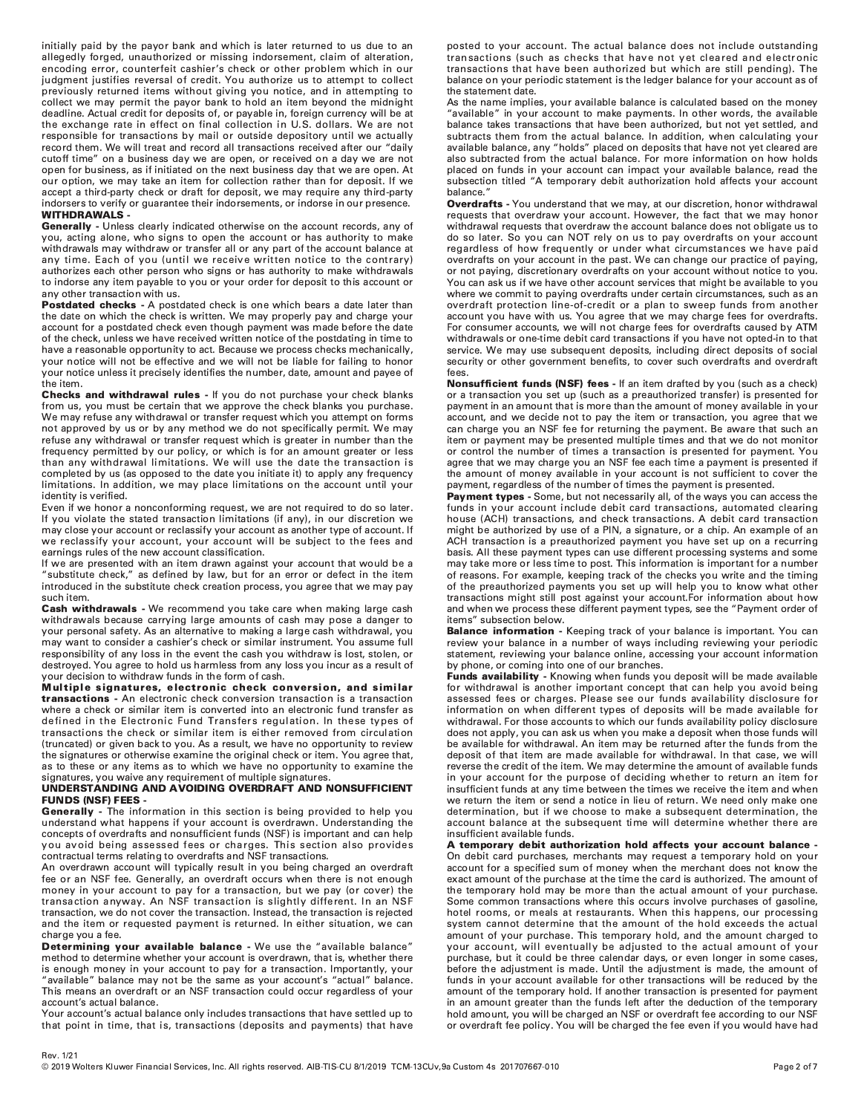initially paid by the payor bank and which is later returned to us due to an allegedly forged, unauthorized or missing indorsement, claim of alteration, encoding error, counterfeit cashier's check or other problem which in our judgment justifies reversal of credit. You authorize us to attempt to collect previously returned items without giving you notice, and in attempting to collect we may permit the payor bank to hold an item beyond the midnight deadline. Actual credit for deposits of, or payable in, foreign currency will be at the exchange rate in effect on final collection in U.S. dollars. We are not responsible for transactions by mail or outside depository until we actually record them. We will treat and record all transactions received after our "daily cutoff time" on a business day we are open, or received on a day we are not open for business, as if initiated on the next business day that we are open. At our option, we may take an item for collection rather than for deposit. If we accept a third-party check or draft for deposit, we may require any third-party indorsers to verify or guarantee their indorsements, or indorse in our presence. **WITHDRAWALS -**

Generally - Unless clearly indicated otherwise on the account records, any of you, acting alone, who signs to open the account or has authority to make withdrawals may withdraw or transfer all or any part of the account balance at any time. Each of you (until we receive written notice to the contrary) authorizes each other person who signs or has authority to make withdrawals to indorse any item payable to you or your order for deposit to this account or any other transaction with us.

Postdated checks - A postdated check is one which bears a date later than the date on which the check is written. We may properly pay and charge your account for a postdated check even though payment was made before the date of the check, unless we have received written notice of the postdating in time to have a reasonable opportunity to act. Because we process checks mechanically, your notice will not be effective and we will not be liable for failing to honor .<br>your notice unless it precisely identifies the number, date, amount and payee of the item.

Checks and withdrawal rules - If you do not purchase your check blanks from us, you must be certain that we approve the check blanks you purchase. We may refuse any withdrawal or transfer request which you attempt on forms not approved by us or by any method we do not specifically permit. We may refuse any withdrawal or transfer request which is greater in number than the frequency permitted by our policy, or which is for an amount greater or less than any withdrawal limitations. We will use the date the transaction is completed by us (as opposed to the date you initiate it) to apply any frequency limitations. In addition, we may place limitations on the account until your identity is verified.

Even if we honor a nonconforming request, we are not required to do so later. If you violate the stated transaction limitations (if any), in our discretion we may close your account or reclassify your account as another type of account. If we reclassify your account, your account will be subject to the fees and earnings rules of the new account classification.

If we are presented with an item drawn against your account that would be a "substitute check," as defined by law, but for an error or defect in the item introduced in the substitute check creation process, you agree that we may pay such item.

Cash withdrawals - We recommend you take care when making large cash withdrawals because carrying large amounts of cash may pose a danger to your personal safety. As an alternative to making a large cash withdrawal, you may want to consider a cashier's check or similar instrument. You assume full responsibility of any loss in the event the cash you withdraw is lost, stolen, or destroyed. You agree to hold us harmless from any loss you incur as a result of your decision to withdraw funds in the form of cash.

Multiple signatures, electronic check conversion, and similar transactions - An electronic check conversion transaction is a transaction where a check or similar item is converted into an electronic fund transfer as defined in the Electronic Fund Transfers regulation. In these types of transactions the check or similar item is either removed from circulation (truncated) or given back to you. As a result, we have no opportunity to review the signatures or otherwise examine the original check or item. You agree that, as to these or any items as to which we have no opportunity to examine the signatures, you waive any requirement of multiple signatures.

# UNDERSTANDING AND AVOIDING OVERDRAFT AND NONSUFFICIENT **FUNDS (NSF) FEES -**

Generally - The information in this section is being provided to help you understand what happens if your account is overdrawn. Understanding the concepts of overdrafts and nonsufficient funds (NSF) is important and can help you avoid being assessed fees or charges. This section also provides contractual terms relating to overdrafts and NSF transactions.

An overdrawn account will typically result in you being charged an overdraft fee or an NSF fee. Generally, an overdraft occurs when there is not enough money in your account to pay for a transaction, but we pay (or cover) the transaction anyway. An NSF transaction is slightly different. In an NSF transaction, we do not cover the transaction. Instead, the transaction is rejected and the item or requested payment is returned. In either situation, we can charge vou a fee.

Determining your available balance - We use the "available balance" method to determine whether your account is overdrawn, that is, whether there is enough money in your account to pay for a transaction. Importantly, your "available" balance may not be the same as your account's "actual" balance. This means an overdraft or an NSF transaction could occur regardless of your account's actual balance.

Your account's actual balance only includes transactions that have settled up to that point in time, that is, transactions (deposits and payments) that have

posted to your account. The actual balance does not include outstanding transactions (such as checks that have not yet cleared and electronic transactions that have been authorized but which are still pending). The balance on your periodic statement is the ledger balance for your account as of the statement date.

As the name implies, your available balance is calculated based on the money "available" in your account to make payments. In other words, the available balance takes transactions that have been authorized, but not yet settled, and subtracts them from the actual balance. In addition, when calculating your available balance, any "holds" placed on deposits that have not yet cleared are also subtracted from the actual balance. For more information on how holds placed on funds in your account can impact your available balance, read the subsection titled "A temporary debit authorization hold affects your account balance.

Overdrafts - You understand that we may, at our discretion, honor withdrawal requests that overdraw your account. However, the fact that we may honor withdrawal requests that overdraw the account balance does not obligate us to do so later. So you can NOT rely on us to pay overdrafts on your account regardless of how frequently or under what circumstances we have paid overdrafts on your account in the past. We can change our practice of paying, or not paying, discretionary overdrafts on your account without notice to you. You can ask us if we have other account services that might be available to you where we commit to paying overdrafts under certain circumstances, such as an overdraft protection line-of-credit or a plan to sweep funds from another account you have with us. You agree that we may charge fees for overdrafts. For consumer accounts, we will not charge fees for overdrafts caused by ATM withdrawals or one-time debit card transactions if you have not opted-in to that service. We may use subsequent deposits, including direct deposits of social security or other government benefits, to cover such overdrafts and overdraft fees.

Nonsufficient funds (NSF) fees - If an item drafted by you (such as a check) or a transaction you set up (such as a preauthorized transfer) is presented for payment in an amount that is more than the amount of money available in your account, and we decide not to pay the item or transaction, you agree that we can charge you an NSF fee for returning the payment. Be aware that such an item or payment may be presented multiple times and that we do not monitor or control the number of times a transaction is presented for payment. You agree that we may charge you an NSF fee each time a payment is presented if the amount of money available in your account is not sufficient to cover the payment, regardless of the number of times the payment is presented.

Payment types - Some, but not necessarily all, of the ways you can access the funds in your account include debit card transactions, automated clearing house (ACH) transactions, and check transactions. A debit card transaction might be authorized by use of a PIN, a signature, or a chip. An example of an ACH transaction is a preauthorized payment you have set up on a recurring basis. All these payment types can use different processing systems and some may take more or less time to post. This information is important for a number of reasons. For example, keeping track of the checks you write and the timing of the preauthorized payments you set up will help you to know what other transactions might still post against your account.For information about how and when we process these different payment types, see the "Payment order of items" subsection below.

Balance information - Keeping track of your balance is important. You can review your balance in a number of ways including reviewing your periodic statement, reviewing your balance online, accessing your account information by phone, or coming into one of our branches.

Funds availability - Knowing when funds you deposit will be made available for withdrawal is another important concept that can help you avoid being assessed fees or charges. Please see our funds availability disclosure for information on when different types of deposits will be made available for withdrawal. For those accounts to which our funds availability policy disclosure does not apply, you can ask us when you make a deposit when those funds will be available for withdrawal. An item may be returned after the funds from the deposit of that item are made available for withdrawal. In that case, we will reverse the credit of the item. We may determine the amount of available funds in your account for the purpose of deciding whether to return an item for insufficient funds at any time between the times we receive the item and when we return the item or send a notice in lieu of return. We need only make one determination, but if we choose to make a subsequent determination, the account balance at the subsequent time will determine whether there are insufficient available funds.

A temporary debit authorization hold affects your account balance -On debit card purchases, merchants may request a temporary hold on your account for a specified sum of money when the merchant does not know the exact amount of the purchase at the time the card is authorized. The amount of the temporary hold may be more than the actual amount of your purchase. Some common transactions where this occurs involve purchases of gasoline, hotel rooms, or meals at restaurants. When this happens, our processing system cannot determine that the amount of the hold exceeds the actual amount of your purchase. This temporary hold, and the amount charged to your account, will eventually be adjusted to the actual amount of your purchase, but it could be three calendar days, or even longer in some cases, before the adjustment is made. Until the adjustment is made, the amount of funds in your account available for other transactions will be reduced by the amount of the temporary hold. If another transaction is presented for payment in an amount greater than the funds left after the deduction of the temporary hold amount, you will be charged an NSF or overdraft fee according to our NSF or overdraft fee policy. You will be charged the fee even if you would have had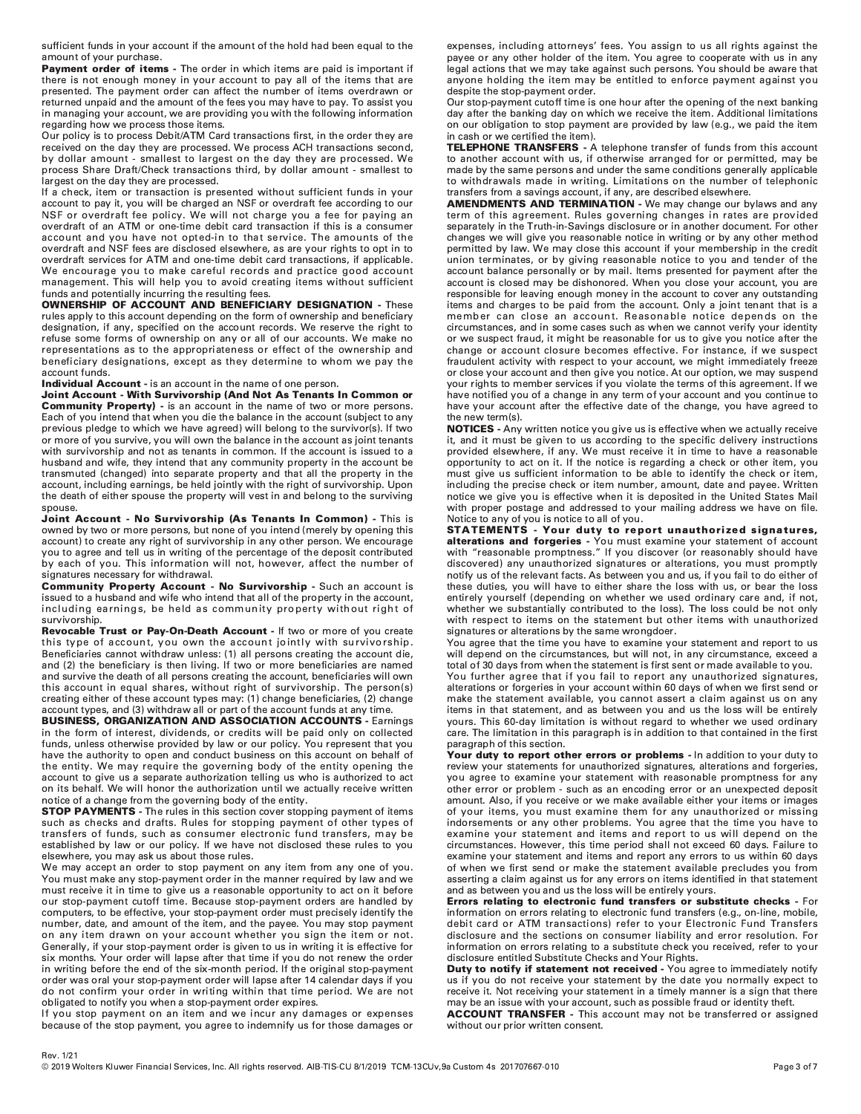sufficient funds in your account if the amount of the hold had been equal to the amount of your purchase.

Payment order of items - The order in which items are paid is important if there is not enough money in your account to pay all of the items that are presented. The payment order can affect the number of items overdrawn or returned unpaid and the amount of the fees you may have to pay. To assist you in managing your account, we are providing you with the following information regarding how we process those items.

Our policy is to process Debit/ATM Card transactions first, in the order they are received on the day they are processed. We process ACH transactions second, by dollar amount - smallest to largest on the day they are processed. We process Share Draft/Check transactions third, by dollar amount - smallest to largest on the day they are processed.

If a check, item or transaction is presented without sufficient funds in your account to pay it, you will be charged an NSF or overdraft fee according to our NSF or overdraft fee policy. We will not charge you a fee for paying an overdraft of an ATM or one-time debit card transaction if this is a consumer account and you have not opted-in to that service. The amounts of the overdraft and NSF fees are disclosed elsewhere, as are your rights to opt in to overdraft services for ATM and one-time debit card transactions, if applicable. We encourage you to make careful records and practice good account management. This will help you to avoid creating items without sufficient funds and potentially incurring the resulting fees.

**OWNERSHIP OF ACCOUNT AND BENEFICIARY DESIGNATION - These** rules apply to this account depending on the form of ownership and beneficiary designation, if any, specified on the account records. We reserve the right to refuse some forms of ownership on any or all of our accounts. We make no representations as to the appropriateness or effect of the ownership and beneficiary designations, except as they determine to whom we pay the account funds.

**Individual Account** - is an account in the name of one person.

Joint Account - With Survivorship (And Not As Tenants In Common or **Community Property)** - is an account in the name of two or more persons. Each of you intend that when you die the balance in the account (subject to any previous pledge to which we have agreed) will belong to the survivor(s). If two or more of you survive, you will own the balance in the account as joint tenants with survivorship and not as tenants in common. If the account is issued to a husband and wife, they intend that any community property in the account be transmuted (changed) into separate property and that all the property in the account, including earnings, be held jointly with the right of survivorship. Upon the death of either spouse the property will vest in and belong to the surviving spouse.

Joint Account - No Survivorship (As Tenants In Common) - This is owned by two or more persons, but none of you intend (merely by opening this account) to create any right of survivorship in any other person. We encourage you to agree and tell us in writing of the percentage of the deposit contributed by each of you. This information will not, however, affect the number of signatures necessary for withdrawal.

Community Property Account - No Survivorship - Such an account is issued to a husband and wife who intend that all of the property in the account, including earnings, be held as community property without right of survivorship.

Revocable Trust or Pay-On-Death Account - If two or more of you create this type of account, you own the account jointly with survivorship. Beneficiaries cannot withdraw unless: (1) all persons creating the account die, and (2) the beneficiary is then living. If two or more beneficiaries are named and survive the death of all persons creating the account, beneficiaries will own this account in equal shares, without right of survivorship. The person(s) creating either of these account types may: (1) change beneficiaries, (2) change account types, and (3) withdraw all or part of the account funds at any time.

**BUSINESS, ORGANIZATION AND ASSOCIATION ACCOUNTS - Earnings** in the form of interest, dividends, or credits will be paid only on collected funds, unless otherwise provided by law or our policy. You represent that you<br>have the authority to open and conduct business on this account on behalf of the entity. We may require the governing body of the entity opening the account to give us a separate authorization telling us who is authorized to act on its behalf. We will honor the authorization until we actually receive written notice of a change from the governing body of the entity.

STOP PAYMENTS - The rules in this section cover stopping payment of items such as checks and drafts. Rules for stopping payment of other types of transfers of funds, such as consumer electronic fund transfers, may be established by law or our policy. If we have not disclosed these rules to you elsewhere, you may ask us about those rules.

We may accept an order to stop payment on any item from any one of you. You must make any stop-payment order in the manner required by law and we must receive it in time to give us a reasonable opportunity to act on it before our stop-payment cutoff time. Because stop-payment orders are handled by computers, to be effective, your stop-payment order must precisely identify the number, date, and amount of the item, and the payee. You may stop payment on any item drawn on your account whether you sign the item or not. Generally, if your stop-payment order is given to us in writing it is effective for six months. Your order will lapse after that time if you do not renew the order in writing before the end of the six-month period. If the original stop-payment order was oral your stop-payment order will lapse after 14 calendar days if you do not confirm your order in writing within that time period. We are not obligated to notify you when a stop-payment order expires.

If you stop payment on an item and we incur any damages or expenses because of the stop payment, you agree to indemnify us for those damages or expenses, including attorneys' fees. You assign to us all rights against the payee or any other holder of the item. You agree to cooperate with us in any legal actions that we may take against such persons. You should be aware that anyone holding the item may be entitled to enforce payment against you despite the stop-payment order.

Our stop-payment cutoff time is one hour after the opening of the next banking day after the banking day on which we receive the item. Additional limitations on our obligation to stop payment are provided by law (e.g., we paid the item in cash or we certified the item).

TELEPHONE TRANSFERS - A telephone transfer of funds from this account to another account with us, if otherwise arranged for or permitted, may be made by the same persons and under the same conditions generally applicable to withdrawals made in writing. Limitations on the number of telephonic transfers from a savings account, if any, are described elsewhere.

**AMENDMENTS AND TERMINATION** - We may change our bylaws and any term of this agreement. Rules governing changes in rates are provided separately in the Truth-in-Savings disclosure or in another document. For other changes we will give you reasonable notice in writing or by any other method permitted by law. We may close this account if your membership in the credit union terminates, or by giving reasonable notice to you and tender of the account balance personally or by mail. Items presented for payment after the account is closed may be dishonored. When you close your account, you are responsible for leaving enough money in the account to cover any outstanding items and charges to be paid from the account. Only a joint tenant that is a member can close an account. Reasonable notice depends on the circumstances, and in some cases such as when we cannot verify your identity or we suspect fraud, it might be reasonable for us to give you notice after the change or account closure becomes effective. For instance, if we suspect fraudulent activity with respect to your account, we might immediately freeze or close your account and then give you notice. At our option, we may suspend your rights to member services if you violate the terms of this agreement. If we have notified you of a change in any term of your account and you continue to have your account after the effective date of the change, you have agreed to the new term(s).

NOTICES - Any written notice you give us is effective when we actually receive it, and it must be given to us according to the specific delivery instructions provided elsewhere, if any. We must receive it in time to have a reasonable opportunity to act on it. If the notice is regarding a check or other item, you must give us sufficient information to be able to identify the check or item, including the precise check or item number, amount, date and payee. Written notice we give you is effective when it is deposited in the United States Mail with proper postage and addressed to your mailing address we have on file. Notice to any of you is notice to all of you.

**STATEMENTS** - Your duty to report unauthorized signatures, alterations and forgeries - You must examine your statement of account<br>with "reasonable promptness." If you discover (or reasonably should have discovered) any unauthorized signatures or alterations, you must promptly notify us of the relevant facts. As between you and us, if you fail to do either of these duties, you will have to either share the loss with us, or bear the loss entirely yourself (depending on whether we used ordinary care and, if not, whether we substantially contributed to the loss). The loss could be not only with respect to items on the statement but other items with unauthorized signatures or alterations by the same wrongdoer.

You agree that the time you have to examine your statement and report to us will depend on the circumstances, but will not, in any circumstance, exceed a total of 30 days from when the statement is first sent or made available to you.

You further agree that if you fail to report any unauthorized signatures, alterations or forgeries in your account within 60 days of when we first send or make the statement available, you cannot assert a claim against us on any items in that statement, and as between you and us the loss will be entirely yours. This 60-day limitation is without regard to whether we used ordinary care. The limitation in this paragraph is in addition to that contained in the first paragraph of this section.

Your duty to report other errors or problems - In addition to your duty to review your statements for unauthorized signatures, alterations and forgeries, you agree to examine your statement with reasonable promptness for any other error or problem - such as an encoding error or an unexpected deposit amount. Also, if you receive or we make available either your items or images of your items, you must examine them for any unauthorized or missing indorsements or any other problems. You agree that the time you have to examine your statement and items and report to us will depend on the circumstances. However, this time period shall not exceed 60 days. Failure to examine your statement and items and report any errors to us within 60 days of when we first send or make the statement available precludes you from asserting a claim against us for any errors on items identified in that statement and as between you and us the loss will be entirely yours.

Errors relating to electronic fund transfers or substitute checks - For information on errors relating to electronic fund transfers (e.g., on-line, mobile, debit card or ATM transactions) refer to your Electronic Fund Transfers disclosure and the sections on consumer liability and error resolution. For information on errors relating to a substitute check you received, refer to your disclosure entitled Substitute Checks and Your Rights.

Duty to notify if statement not received - You agree to immediately notify us if you do not receive your statement by the date you normally expect to receive it. Not receiving your statement in a timely manner is a sign that there may be an issue with your account, such as possible fraud or identity theft.

ACCOUNT TRANSFER - This account may not be transferred or assigned without our prior written consent.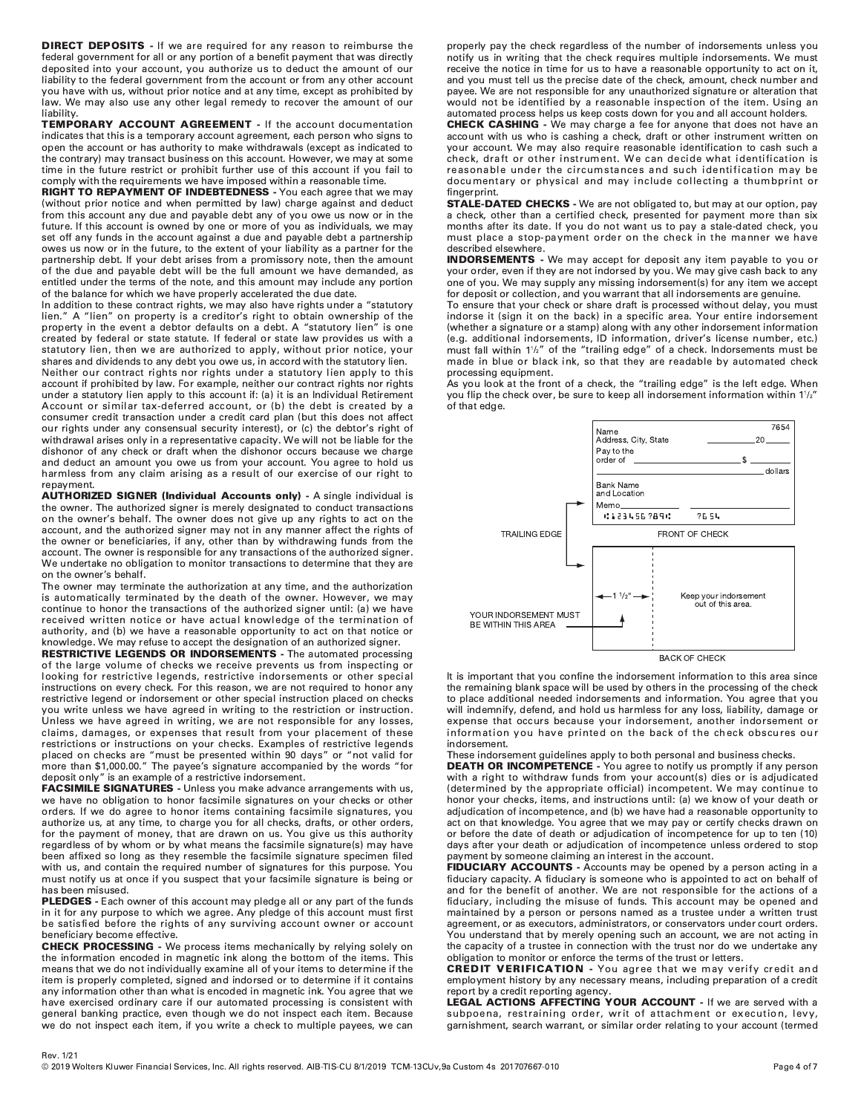**DIRECT DEPOSITS** - If we are required for any reason to reimburse the federal government for all or any portion of a benefit payment that was directly deposited into your account, you authorize us to deduct the amount of our liability to the federal government from the account or from any other account you have with us, without prior notice and at any time, except as prohibited by law. We may also use any other legal remedy to recover the amount of our liability

TEMPORARY ACCOUNT AGREEMENT - If the account documentation indicates that this is a temporary account agreement, each person who signs to open the account or has authority to make withdrawals (except as indicated to the contrary) may transact business on this account. However, we may at some time in the future restrict or prohibit further use of this account if you fail to comply with the requirements we have imposed within a reasonable time.

RIGHT TO REPAYMENT OF INDEBTEDNESS - You each agree that we may (without prior notice and when permitted by law) charge against and deduct from this account any due and payable debt any of you owe us now or in the future. If this account is owned by one or more of you as individuals, we may set off any funds in the account against a due and payable debt a partnership owes us now or in the future, to the extent of your liability as a partner for the partnership debt. If your debt arises from a promissory note, then the amount of the due and payable debt will be the full amount we have demanded, as entitled under the terms of the note, and this amount may include any portion of the balance for which we have properly accelerated the due date.

In addition to these contract rights, we may also have rights under a "statutory lien." A "lien" on property is a creditor's right to obtain ownership of the property in the event a debtor defaults on a debt. A "statutory lien" is one created by federal or state statute. If federal or state law provides us with a statutory lien, then we are authorized to apply, without prior notice, your shares and dividends to any debt you owe us, in accord with the statutory lien. Neither our contract rights nor rights under a statutory lien apply to this

account if prohibited by law. For example, neither our contract rights nor rights under a statutory lien apply to this account if: (a) it is an Individual Retirement Account or similar tax-deferred account, or (b) the debt is created by a consumer credit transaction under a credit card plan (but this does not affect our rights under any consensual security interest), or (c) the debtor's right of withdrawal arises only in a representative capacity. We will not be liable for the dishonor of any check or draft when the dishonor occurs because we charge and deduct an amount you owe us from your account. You agree to hold us harmless from any claim arising as a result of our exercise of our right to repayment.

**AUTHORIZED SIGNER (Individual Accounts only)** - A single individual is the owner. The authorized signer is merely designated to conduct transactions on the owner's behalf. The owner does not give up any rights to act on the account, and the authorized signer may not in any manner affect the rights of the owner or beneficiaries, if any, other than by withdrawing funds from the account. The owner is responsible for any transactions of the authorized signer. We undertake no obligation to monitor transactions to determine that they are on the owner's behalf.

The owner may terminate the authorization at any time, and the authorization is automatically terminated by the death of the owner. However, we may continue to honor the transactions of the authorized signer until: (a) we have received written notice or have actual knowledge of the termination of authority, and (b) we have a reasonable opportunity to act on that notice or knowledge. We may refuse to accept the designation of an authorized signer.

**RESTRICTIVE LEGENDS OR INDORSEMENTS - The automated processing** of the large volume of checks we receive prevents us from inspecting or looking for restrictive legends, restrictive indorsements or other special instructions on every check. For this reason, we are not required to honor any restrictive legend or indorsement or other special instruction placed on checks you write unless we have agreed in writing to the restriction or instruction. Unless we have agreed in writing, we are not responsible for any losses, claims, damages, or expenses that result from your placement of these restrictions or instructions on your checks. Examples of restrictive legends placed on checks are "must be presented within 90 days" or "not valid for<br>more than \$1,000.00." The payee's signature accompanied by the words "for deposit only" is an example of a restrictive indorsement.

FACSIMILE SIGNATURES - Unless you make advance arrangements with us, we have no obligation to honor facsimile signatures on your checks or other orders. If we do agree to honor items containing facsimile signatures, you authorize us, at any time, to charge you for all checks, drafts, or other orders, for the payment of money, that are drawn on us. You give us this authority regardless of by whom or by what means the facsimile signature(s) may have been affixed so long as they resemble the facsimile signature specimen filed with us, and contain the required number of signatures for this purpose. You must notify us at once if you suspect that your facsimile signature is being or has been misused.

PLEDGES - Each owner of this account may pledge all or any part of the funds in it for any purpose to which we agree. Any pledge of this account must first be satisfied before the rights of any surviving account owner or account beneficiary become effective.

**CHECK PROCESSING** - We process items mechanically by relying solely on the information encoded in magnetic ink along the bottom of the items. This means that we do not individually examine all of your items to determine if the item is properly completed, signed and indorsed or to determine if it contains any information other than what is encoded in magnetic ink. You agree that we have exercised ordinary care if our automated processing is consistent with general banking practice, even though we do not inspect each item. Because we do not inspect each item, if you write a check to multiple payees, we can properly pay the check regardless of the number of indorsements unless you notify us in writing that the check requires multiple indorsements. We must receive the notice in time for us to have a reasonable opportunity to act on it, and you must tell us the precise date of the check, amount, check number and payee. We are not responsible for any unauthorized signature or alteration that would not be identified by a reasonable inspection of the item. Using an automated process helps us keep costs down for you and all account holders.

**CHECK CASHING** - We may charge a fee for anyone that does not have an account with us who is cashing a check, draft or other instrument written on your account. We may also require reasonable identification to cash such a check, draft or other instrument. We can decide what identification is reasonable under the circumstances and such identification may be documentary or physical and may include collecting a thumbprint or fingerprint.

**STALE-DATED CHECKS** - We are not obligated to, but may at our option, pay a check, other than a certified check, presented for payment more than six months after its date. If you do not want us to pay a stale-dated check, you must place a stop-payment order on the check in the manner we have described elsewhere.

**INDORSEMENTS** - We may accept for deposit any item payable to you or your order, even if they are not indorsed by you. We may give cash back to any one of you. We may supply any missing indorsement(s) for any item we accept for deposit or collection, and you warrant that all indorsements are genuine.

To ensure that your check or share draft is processed without delay, you must indorse it (sign it on the back) in a specific area. Your entire indorsement (whether a signature or a stamp) along with any other indorsement information (e.g. additional indorsements, ID information, driver's license number, etc.) must fall within 1<sup>1</sup>/<sub>2</sub>" of the "trailing edge" of a check. Indorsements must be made in blue or black ink, so that they are readable by automated check processing equipment.

As you look at the front of a check, the "trailing edge" is the left edge. When you flip the check over, be sure to keep all indorsement information within 11/2" of that edge.



**BACK OF CHECK** 

It is important that you confine the indorsement information to this area since the remaining blank space will be used by others in the processing of the check to place additional needed indorsements and information. You agree that you will indemnify, defend, and hold us harmless for any loss, liability, damage or expense that occurs because your indorsement, another indorsement or<br>information you have printed on the back of the check obscures our indorsement.

These indorsement guidelines apply to both personal and business checks.

**DEATH OR INCOMPETENCE** - You agree to notify us promptly if any person with a right to withdraw funds from your account(s) dies or is adjudicated (determined by the appropriate official) incompetent. We may continue to honor your checks, items, and instructions until: (a) we know of your death or adjudication of incompetence, and (b) we have had a reasonable opportunity to act on that knowledge. You agree that we may pay or certify checks drawn on or before the date of death or adjudication of incompetence for up to ten (10) days after your death or adjudication of incompetence unless ordered to stop payment by someone claiming an interest in the account.

FIDUCIARY ACCOUNTS - Accounts may be opened by a person acting in a fiduciary capacity. A fiduciary is someone who is appointed to act on behalf of and for the benefit of another. We are not responsible for the actions of a fiduciary, including the misuse of funds. This account may be opened and maintained by a person or persons named as a trustee under a written trust agreement, or as executors, administrators, or conservators under court orders. You understand that by merely opening such an account, we are not acting in the capacity of a trustee in connection with the trust nor do we undertake any obligation to monitor or enforce the terms of the trust or letters.

**CREDIT VERIFICATION** - You agree that we may verify credit and employment history by any necessary means, including preparation of a credit report by a credit reporting agency.

LEGAL ACTIONS AFFECTING YOUR ACCOUNT - If we are served with a subpoena, restraining order, writ of attachment or execution, levy, garnishment, search warrant, or similar order relating to your account (termed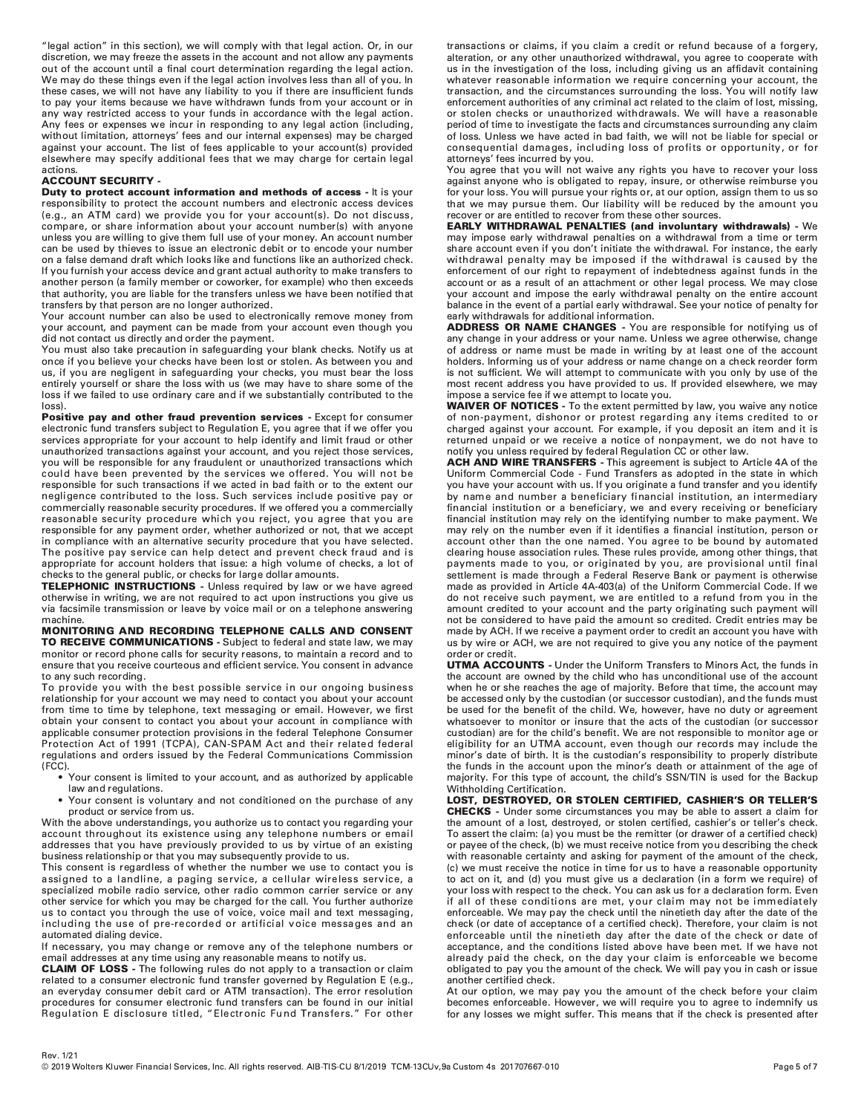"legal action" in this section), we will comply with that legal action. Or, in our discretion, we may freeze the assets in the account and not allow any payments out of the account until a final court determination regarding the legal action. We may do these things even if the legal action involves less than all of you. In these cases, we will not have any liability to you if there are insufficient funds to pay your items because we have withdrawn funds from your account or in any way restricted access to your funds in accordance with the legal action. Any fees or expenses we incur in responding to any legal action (including, without limitation, attorneys' fees and our internal expenses) may be charged against your account. The list of fees applicable to your account(s) provided elsewhere may specify additional fees that we may charge for certain legal actions

# **ACCOUNT SECURITY -**

Duty to protect account information and methods of access - It is your responsibility to protect the account numbers and electronic access devices (e.g., an ATM card) we provide you for your account(s). Do not discuss, compare, or share information about your account number(s) with anyone unless you are willing to give them full use of your money. An account number can be used by thieves to issue an electronic debit or to encode your number on a false demand draft which looks like and functions like an authorized check. If you furnish your access device and grant actual authority to make transfers to another person (a family member or coworker, for example) who then exceeds that authority, you are liable for the transfers unless we have been notified that transfers by that person are no longer authorized.

Your account number can also be used to electronically remove money from your account, and payment can be made from your account even though you did not contact us directly and order the payment.

You must also take precaution in safeguarding your blank checks. Notify us at once if you believe your checks have been lost or stolen. As between you and us, if you are negligent in safeguarding your checks, you must bear the loss entirely yourself or share the loss with us (we may have to share some of the loss if we failed to use ordinary care and if we substantially contributed to the  $|0$ ss $|$ 

Positive pay and other fraud prevention services - Except for consumer electronic fund transfers subject to Regulation E, you agree that if we offer you services appropriate for your account to help identify and limit fraud or other unauthorized transactions against your account, and you reject those services, you will be responsible for any fraudulent or unauthorized transactions which could have been prevented by the services we offered. You will not be responsible for such transactions if we acted in bad faith or to the extent our negligence contributed to the loss. Such services include positive pay or commercially reasonable security procedures. If we offered you a commercially reasonable security procedure which you reject, you agree that you are responsible for any payment order, whether authorized or not, that we accept in compliance with an alternative security procedure that you have selected. The positive pay service can help detect and prevent check fraud and is appropriate for account holders that issue: a high volume of checks, a lot of checks to the general public, or checks for large dollar amounts.

TELEPHONIC INSTRUCTIONS - Unless required by law or we have agreed otherwise in writing, we are not required to act upon instructions you give us via facsimile transmission or leave by voice mail or on a telephone answering machine.

MONITORING AND RECORDING TELEPHONE CALLS AND CONSENT TO RECEIVE COMMUNICATIONS - Subject to federal and state law, we may monitor or record phone calls for security reasons, to maintain a record and to ensure that you receive courteous and efficient service. You consent in advance to any such recording.

To provide you with the best possible service in our ongoing business relationship for your account we may need to contact you about your account from time to time by telephone, text messaging or email. However, we first obtain your consent to contact you about your account in compliance with applicable consumer protection provisions in the federal Telephone Consumer Protection Act of 1991 (TCPA), CAN-SPAM Act and their related federal regulations and orders issued by the Federal Communications Commission  $(FCC)$ 

- Your consent is limited to your account, and as authorized by applicable law and regulations.
- Your consent is voluntary and not conditioned on the purchase of any product or service from us.

With the above understandings, you authorize us to contact you regarding your account throughout its existence using any telephone numbers or email addresses that you have previously provided to us by virtue of an existing business relationship or that you may subsequently provide to us.

This consent is regardless of whether the number we use to contact you is assigned to a landline, a paging service, a cellular wireless service, a specialized mobile radio service, other radio common carrier service or any other service for which you may be charged for the call. You further authorize us to contact you through the use of voice, voice mail and text messaging, including the use of pre-recorded or artificial voice messages and an automated dialing device.

If necessary, you may change or remove any of the telephone numbers or email addresses at any time using any reasonable means to notify us.

**CLAIM OF LOSS** - The following rules do not apply to a transaction or claim related to a consumer electronic fund transfer governed by Regulation E (e.g., an everyday consumer debit card or ATM transaction). The error resolution procedures for consumer electronic fund transfers can be found in our initial Regulation E disclosure titled, "Electronic Fund Transfers." For other transactions or claims, if you claim a credit or refund because of a forgery, alteration, or any other unauthorized withdrawal, you agree to cooperate with us in the investigation of the loss, including giving us an affidavit containing whatever reasonable information we require concerning your account, the transaction, and the circumstances surrounding the loss. You will notify law enforcement authorities of any criminal act related to the claim of lost, missing, or stolen checks or unauthorized withdrawals. We will have a reasonable period of time to investigate the facts and circumstances surrounding any claim of loss. Unless we have acted in bad faith, we will not be liable for special or consequential damages, including loss of profits or opportunity, or for attorneys' fees incurred by you.

You agree that you will not waive any rights you have to recover your loss against anyone who is obligated to repay, insure, or otherwise reimburse you for your loss. You will pursue your rights or, at our option, assign them to us so that we may pursue them. Our liability will be reduced by the amount you recover or are entitled to recover from these other sources.

**EARLY WITHDRAWAL PENALTIES (and involuntary withdrawals) - We** may impose early withdrawal penalties on a withdrawal from a time or term share account even if you don't initiate the withdrawal. For instance, the early withdrawal penalty may be imposed if the withdrawal is caused by the enforcement of our right to repayment of indebtedness against funds in the account or as a result of an attachment or other legal process. We may close your account and impose the early withdrawal penalty on the entire account balance in the event of a partial early withdrawal. See your notice of penalty for early withdrawals for additional information.

ADDRESS OR NAME CHANGES - You are responsible for notifying us of any change in your address or your name. Unless we agree otherwise, change of address or name must be made in writing by at least one of the account holders. Informing us of your address or name change on a check reorder form is not sufficient. We will attempt to communicate with you only by use of the most recent address you have provided to us. If provided elsewhere, we may impose a service fee if we attempt to locate you.<br>**WAIVER OF NOTICES** - To the extent permitted by law, you waive any notice

of non-payment, dishonor or protest regarding any items credited to or charged against your account. For example, if you deposit an item and it is returned unpaid or we receive a notice of nonpayment, we do not have to notify you unless required by federal Regulation CC or other law.

ACH AND WIRE TRANSFERS - This agreement is subject to Article 4A of the Uniform Commercial Code - Fund Transfers as adopted in the state in which you have your account with us. If you originate a fund transfer and you identify by name and number a beneficiary financial institution, an intermediary financial institution or a beneficiary, we and every receiving or beneficiary financial institution may rely on the identifying number to make payment. We may rely on the number even if it identifies a financial institution, person or account other than the one named. You agree to be bound by automated clearing house association rules. These rules provide, among other things, that payments made to you, or originated by you, are provisional until final settlement is made through a Federal Reserve Bank or payment is otherwise made as provided in Article 4A-403(a) of the Uniform Commercial Code. If we do not receive such payment, we are entitled to a refund from you in the amount credited to your account and the party originating such payment will not be considered to have paid the amount so credited. Credit entries may be made by ACH. If we receive a payment order to credit an account you have with us by wire or ACH, we are not required to give you any notice of the payment order or credit.

**UTMA ACCOUNTS** - Under the Uniform Transfers to Minors Act, the funds in the account are owned by the child who has unconditional use of the account when he or she reaches the age of majority. Before that time, the account may be accessed only by the custodian (or successor custodian), and the funds must be used for the benefit of the child. We, however, have no duty or agreement whatsoever to monitor or insure that the acts of the custodian (or successor custodian) are for the child's benefit. We are not responsible to monitor age or eligibility for an UTMA account, even though our records may include the minor's date of birth. It is the custodian's responsibility to properly distribute the funds in the account upon the minor's death or attainment of the age of majority. For this type of account, the child's SSN/TIN is used for the Backup Withholding Certification.

LOST, DESTROYED, OR STOLEN CERTIFIED, CASHIER'S OR TELLER'S **CHECKS** - Under some circumstances you may be able to assert a claim for the amount of a lost, destroyed, or stolen certified, cashier's or teller's check. To assert the claim: (a) you must be the remitter (or drawer of a certified check) or payee of the check, (b) we must receive notice from you describing the check with reasonable certainty and asking for payment of the amount of the check, (c) we must receive the notice in time for us to have a reasonable opportunity to act on it, and (d) you must give us a declaration (in a form we require) of your loss with respect to the check. You can ask us for a declaration form. Even if all of these conditions are met, your claim may not be immediately enforceable. We may pay the check until the ninetieth day after the date of the check (or date of acceptance of a certified check). Therefore, your claim is not enforceable until the ninetieth day after the date of the check or date of acceptance, and the conditions listed above have been met. If we have not already paid the check, on the day your claim is enforceable we become obligated to pay you the amount of the check. We will pay you in cash or issue another certified check.

At our option, we may pay you the amount of the check before your claim becomes enforceable. However, we will require you to agree to indemnify us for any losses we might suffer. This means that if the check is presented after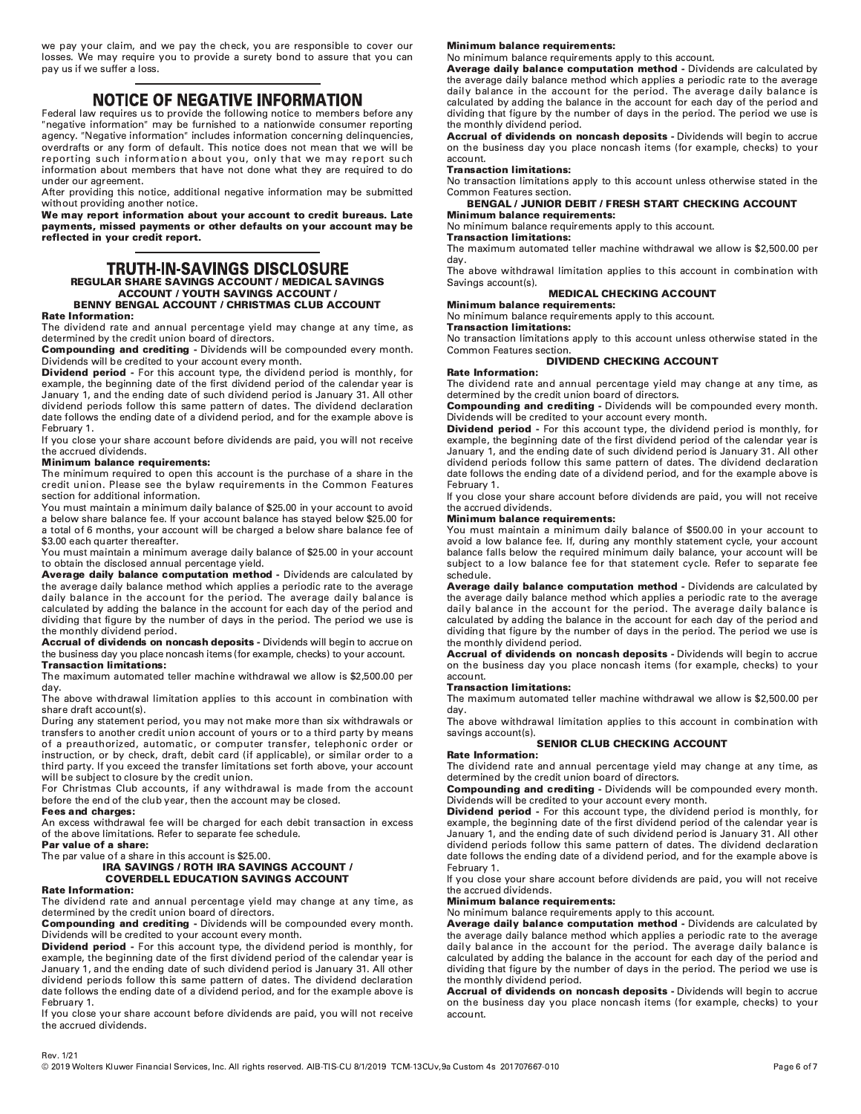we pay your claim, and we pay the check, you are responsible to cover our losses. We may require you to provide a surety bond to assure that you can pay us if we suffer a loss.

**NOTICE OF NEGATIVE INFORMATION**<br>Federal law requires us to provide the following notice to members before any "negative information" may be furnished to a nationwide consumer reporting agency. "Negative information" includes information concerning delinquencies, overdrafts or any form of default. This notice does not mean that we will be reporting such information about you, only that we may report such information about members that have not done what they are required to do under our agreement.

After providing this notice, additional negative information may be submitted without providing another notice.

We may report information about your account to credit bureaus. Late payments, missed payments or other defaults on your account may be reflected in your credit report.

# **TRUTH-IN-SAVINGS DISCLOSURE REGULAR SHARE SAVINGS ACCOUNT / MEDICAL SAVINGS ACCOUNT / YOUTH SAVINGS ACCOUNT / BENNY BENGAL ACCOUNT / CHRISTMAS CLUB ACCOUNT**

## **Rate Information:**

The dividend rate and annual percentage yield may change at any time, as determined by the credit union board of directors.

**Compounding and crediting - Dividends will be compounded every month.** Dividends will be credited to your account every month.

**Dividend period** - For this account type, the dividend period is monthly, for example, the beginning date of the first dividend period of the calendar year is January 1, and the ending date of such dividend period is January 31. All other dividend periods follow this same pattern of dates. The dividend declaration date follows the ending date of a dividend period, and for the example above is February 1.

If you close your share account before dividends are paid, you will not receive the accrued dividends.

# **Minimum balance requirements:**

The minimum required to open this account is the purchase of a share in the credit union. Please see the bylaw requirements in the Common Features section for additional information.

You must maintain a minimum daily balance of \$25.00 in your account to avoid a below share balance fee. If your account balance has stayed below \$25.00 for a total of 6 months, your account will be charged a below share balance fee of \$3.00 each quarter thereafter.

You must maintain a minimum average daily balance of \$25.00 in your account to obtain the disclosed annual percentage yield.

Average daily balance computation method - Dividends are calculated by the average daily balance method which applies a periodic rate to the average daily balance in the account for the period. The average daily balance is calculated by adding the balance in the account for each day of the period and dividing that figure by the number of days in the period. The period we use is the monthly dividend period.

Accrual of dividends on noncash deposits - Dividends will begin to accrue on the business day you place noncash items (for example, checks) to your account. **Transaction limitations:** 

The maximum automated teller machine withdrawal we allow is \$2,500.00 per day.

The above withdrawal limitation applies to this account in combination with share draft account(s).

During any statement period, you may not make more than six withdrawals or transfers to another credit union account of yours or to a third party by means of a preauthorized, automatic, or computer transfer, telephonic order or instruction, or by check, draft, debit card (if applicable), or similar order to a third party. If you exceed the transfer limitations set forth above, your account will be subject to closure by the credit union.

For Christmas Club accounts, if any withdrawal is made from the account before the end of the club year, then the account may be closed. **Fees and charges:** 

An excess withdrawal fee will be charged for each debit transaction in excess of the above limitations. Refer to separate fee schedule.

Par value of a share:

The par value of a share in this account is \$25.00.

# IRA SAVINGS / ROTH IRA SAVINGS ACCOUNT / **COVERDELL EDUCATION SAVINGS ACCOUNT**

# **Rate Information:**

The dividend rate and annual percentage yield may change at any time, as determined by the credit union board of directors.

Compounding and crediting - Dividends will be compounded every month. Dividends will be credited to your account every month.

**Dividend period** - For this account type, the dividend period is monthly, for example, the beginning date of the first dividend period of the calendar year is January 1, and the ending date of such dividend period is January 31. All other dividend periods follow this same pattern of dates. The dividend declaration date follows the ending date of a dividend period, and for the example above is February 1.

If you close your share account before dividends are paid, you will not receive the accrued dividends.

# **Minimum balance requirements:**

No minimum balance requirements apply to this account.

Average daily balance computation method - Dividends are calculated by the average daily balance method which applies a periodic rate to the average daily balance in the account for the period. The average daily balance is calculated by adding the balance in the account for each day of the period and dividing that figure by the number of days in the period. The period we use is the monthly dividend period.

Accrual of dividends on noncash deposits - Dividends will begin to accrue on the business day you place noncash items (for example, checks) to your account.

# **Transaction limitations:**

No transaction limitations apply to this account unless otherwise stated in the Common Features section.

# **BENGAL / JUNIOR DEBIT / FRESH START CHECKING ACCOUNT**

**Minimum balance requirements:** No minimum balance requirements apply to this account.

# **Transaction limitations:**

The maximum automated teller machine withdrawal we allow is \$2,500.00 per day.

The above withdrawal limitation applies to this account in combination with Savings account(s).

# **MEDICAL CHECKING ACCOUNT**

**Minimum balance requirements:** 

## No minimum balance requirements apply to this account. **Transaction limitations:**

No transaction limitations apply to this account unless otherwise stated in the Common Features section.

# **DIVIDEND CHECKING ACCOUNT**

# **Rate Information:**

The dividend rate and annual percentage yield may change at any time, as determined by the credit union board of directors.<br> **Compounding and crediting -** Dividends will be compounded every month.

Dividends will be credited to your account every month.

Dividend period - For this account type, the dividend period is monthly, for example, the beginning date of the first dividend period of the calendar year is January 1, and the ending date of such dividend period is January 31. All other dividend periods follow this same pattern of dates. The dividend declaration date follows the ending date of a dividend period, and for the example above is February 1.

If you close your share account before dividends are paid, you will not receive the accrued dividends.

# **Minimum balance requirements:**

You must maintain a minimum daily balance of \$500.00 in your account to avoid a low balance fee. If, during any monthly statement cycle, your account balance falls below the required minimum daily balance, your account will be subject to a low balance fee for that statement cycle. Refer to separate fee schedule.

Average daily balance computation method - Dividends are calculated by the average daily balance method which applies a periodic rate to the average daily balance in the account for the period. The average daily balance is calculated by adding the balance in the account for each day of the period and dividing that figure by the number of days in the period. The period we use is the monthly dividend period.

Accrual of dividends on noncash deposits - Dividends will begin to accrue on the business day you place noncash items (for example, checks) to your account.

# **Transaction limitations:**

The maximum automated teller machine withdrawal we allow is \$2,500.00 per dav.

The above withdrawal limitation applies to this account in combination with savings account(s).

# **SENIOR CLUB CHECKING ACCOUNT**

## **Rate Information:**

The dividend rate and annual percentage yield may change at any time, as determined by the credit union board of directors.

Compounding and crediting - Dividends will be compounded every month. Dividends will be credited to your account every month.

Dividend period - For this account type, the dividend period is monthly, for example, the beginning date of the first dividend period of the calendar year is January 1, and the ending date of such dividend period is January 31. All other dividend periods follow this same pattern of dates. The dividend declaration date follows the ending date of a dividend period, and for the example above is February 1.

If you close your share account before dividends are paid, you will not receive the accrued dividends.

# **Minimum balance requirements:**

No minimum balance requirements apply to this account.

Average daily balance computation method - Dividends are calculated by the average daily balance method which applies a periodic rate to the average daily balance in the account for the period. The average daily balance is calculated by adding the balance in the account for each day of the period and dividing that figure by the number of days in the period. The period we use is the monthly dividend period.

Accrual of dividends on noncash deposits - Dividends will begin to accrue on the business day you place noncash items (for example, checks) to your account.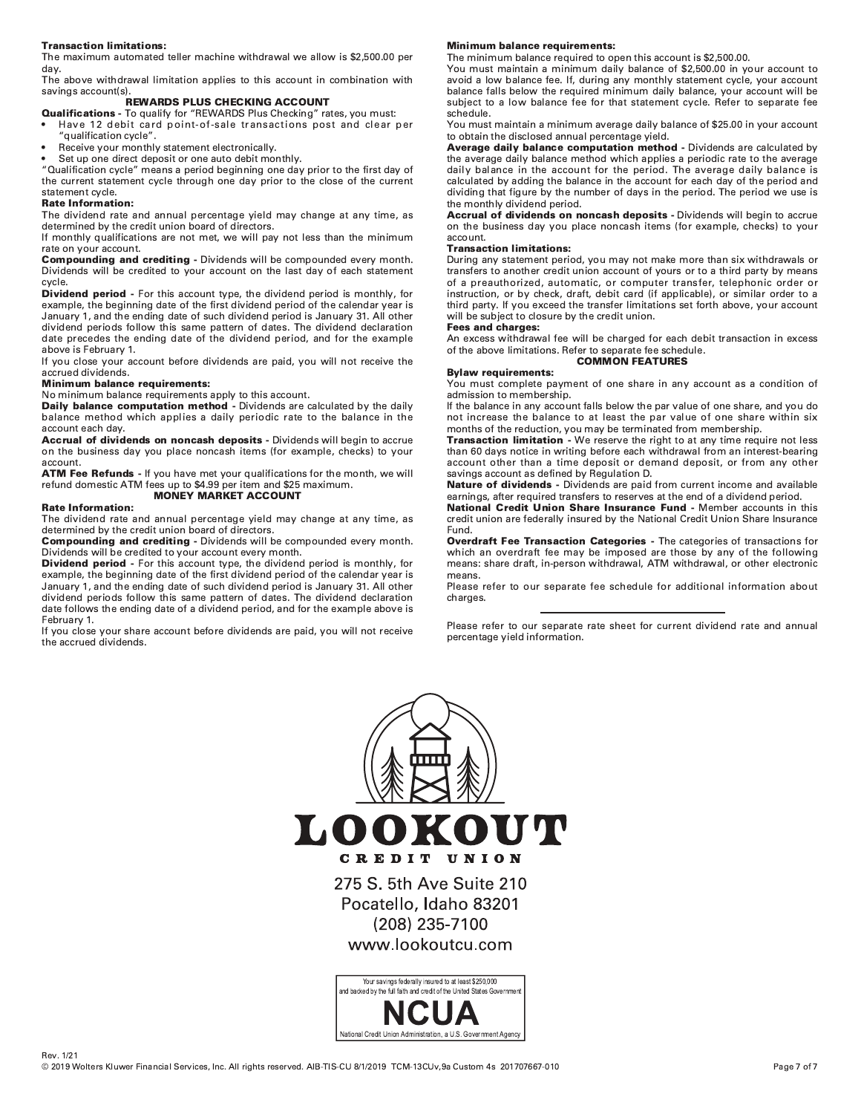# **Transaction limitations:**

The maximum automated teller machine withdrawal we allow is \$2,500.00 per day.

The above withdrawal limitation applies to this account in combination with savings account(s)

# **REWARDS PLUS CHECKING ACCOUNT**

- Qualifications To qualify for "REWARDS Plus Checking" rates, you must: Have 12 debit card point-of-sale transactions post and clear per
- "qualification cycle".
- Receive your monthly statement electronically.

Set up one direct deposit or one auto debit monthly.

"Qualification cycle" means a period beginning one day prior to the first day of the current statement cycle through one day prior to the close of the current statement cycle.

# **Rate Information:**

The dividend rate and annual percentage yield may change at any time, as determined by the credit union board of directors.

If monthly qualifications are not met, we will pay not less than the minimum rate on your account.

Compounding and crediting - Dividends will be compounded every month. Dividends will be credited to your account on the last day of each statement cycle.

**Dividend period** - For this account type, the dividend period is monthly, for example, the beginning date of the first dividend period of the calendar year is January 1, and the ending date of such dividend period is January 31. All other dividend periods follow this same pattern of dates. The dividend declaration date precedes the ending date of the dividend period, and for the example above is February 1.

If you close your account before dividends are paid, you will not receive the accrued dividends.

# **Minimum balance requirements:**

No minimum balance requirements apply to this account.<br>**Daily balance computation method** - Dividends are calculated by the daily balance method which applies a daily periodic rate to the balance in the account each day.

Accrual of dividends on noncash deposits - Dividends will begin to accrue on the business day you place noncash items (for example, checks) to your account.

ATM Fee Refunds - If you have met your qualifications for the month, we will refund domestic ATM fees up to \$4.99 per item and \$25 maximum. **MONEY MARKET ACCOUNT** 

## **Rate Information:**

The dividend rate and annual percentage yield may change at any time, as determined by the credit union board of directors.

Compounding and crediting - Dividends will be compounded every month. Dividends will be credited to your account every month.

Dividend period - For this account type, the dividend period is monthly, for example, the beginning date of the first dividend period of the calendar year is January 1, and the ending date of such dividend period is January 31. All other dividend periods follow this same pattern of dates. The dividend declaration date follows the ending date of a dividend period, and for the example above is February 1.

If you close your share account before dividends are paid, you will not receive the accrued dividends.

# **Minimum balance requirements:**

The minimum balance required to open this account is \$2,500.00. You must maintain a minimum daily balance of \$2,500.00 in your account to avoid a low balance fee. If, during any monthly statement cycle, your account balance falls below the required minimum daily balance, your account will be subject to a low balance fee for that statement cycle. Refer to separate fee schedule.

You must maintain a minimum average daily balance of \$25.00 in your account to obtain the disclosed annual percentage yield.

Average daily balance computation method - Dividends are calculated by the average daily balance method which applies a periodic rate to the average daily balance in the account for the period. The average daily balance is calculated by adding the balance in the account for each day of the period and dividing that figure by the number of days in the period. The period we use is the monthly dividend period.

Accrual of dividends on noncash deposits - Dividends will begin to accrue on the business day you place noncash items (for example, checks) to your account.

# **Transaction limitations:**

During any statement period, you may not make more than six withdrawals or transfers to another credit union account of yours or to a third party by means of a preauthorized, automatic, or computer transfer, telephonic order or instruction, or by check, draft, debit card (if applicable), or similar order to a third party. If you exceed the transfer limitations set forth above, your account will be subject to closure by the credit union.

# Fees and charges:

An excess withdrawal fee will be charged for each debit transaction in excess of the above limitations. Refer to separate fee schedule. **COMMON FEATURES** 

## **Bylaw requirements:**

You must complete payment of one share in any account as a condition of admission to membership.

If the balance in any account falls below the par value of one share, and you do not increase the balance to at least the par value of one share within six months of the reduction, you may be terminated from membership.

Transaction limitation - We reserve the right to at any time require not less than 60 days notice in writing before each withdrawal from an interest-bearing account other than a time deposit or demand deposit, or from any other savings account as defined by Regulation D.

Nature of dividends - Dividends are paid from current income and available earnings, after required transfers to reserves at the end of a dividend period.

National Credit Union Share Insurance Fund - Member accounts in this credit union are federally insured by the National Credit Union Share Insurance Fund.

Overdraft Fee Transaction Categories - The categories of transactions for which an overdraft fee may be imposed are those by any of the following means: share draft, in-person withdrawal, ATM withdrawal, or other electronic means.

Please refer to our separate fee schedule for additional information about charges.

Please refer to our separate rate sheet for current dividend rate and annual percentage yield information.

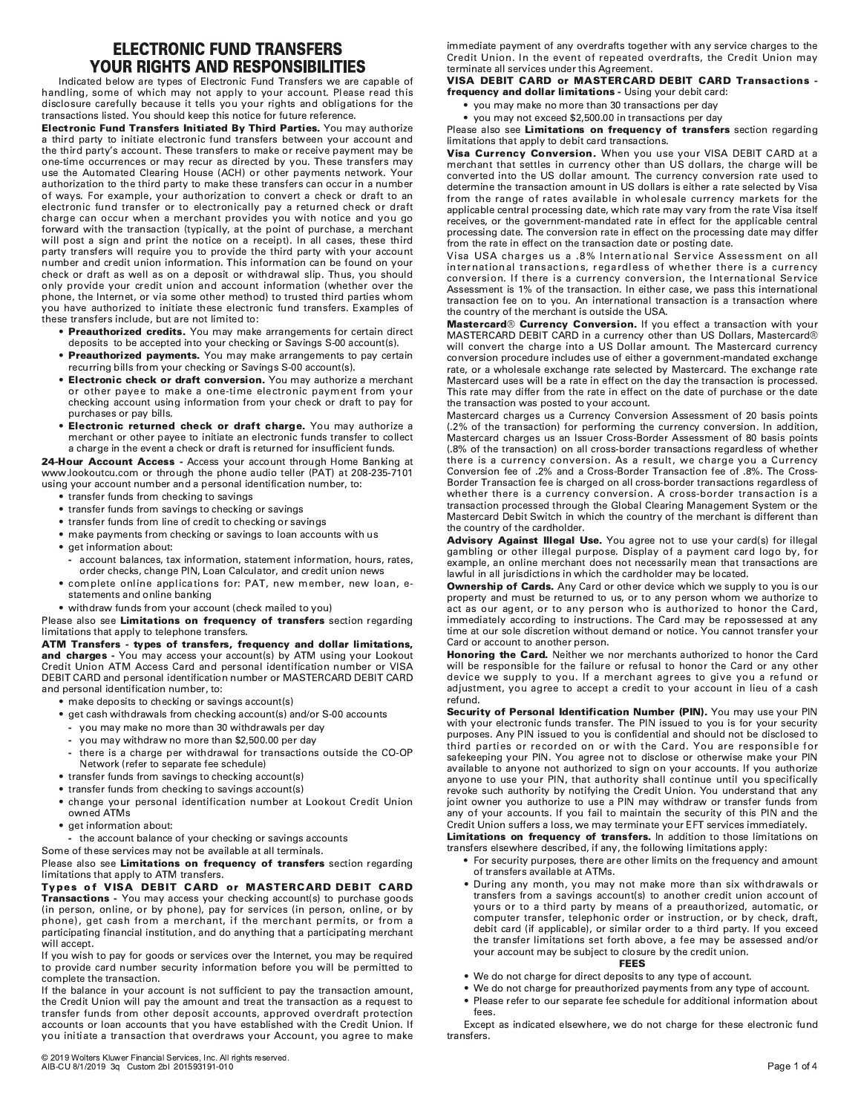# **ELECTRONIC FUND TRANSFERS YOUR RIGHTS AND RESPONSIBILITIES**

Indicated below are types of Electronic Fund Transfers we are capable of handling, some of which may not apply to your account. Please read this disclosure carefully because it tells you your rights and obligations for the transactions listed. You should keep this notice for future reference.

Electronic Fund Transfers Initiated By Third Parties. You may authorize a third party to initiate electronic fund transfers between your account and the third party's account. These transfers to make or receive payment may be one-time occurrences or may recur as directed by you. These transfers may use the Automated Clearing House (ACH) or other payments network. Your authorization to the third party to make these transfers can occur in a number of ways. For example, your authorization to convert a check or draft to an electronic fund transfer or to electronically pay a returned check or draft charge can occur when a merchant provides you with notice and you go forward with the transaction (typically, at the point of purchase, a merchant will post a sign and print the notice on a receipt). In all cases, these third party transfers will require you to provide the third party with your account number and credit union information. This information can be found on your check or draft as well as on a deposit or withdrawal slip. Thus, you should only provide your credit union and account information (whether over the phone, the Internet, or via some other method) to trusted third parties whom .<br>you have authorized to initiate these electronic fund transfers. Examples of these transfers include, but are not limited to:

- Preauthorized credits. You may make arrangements for certain direct deposits to be accepted into your checking or Savings S-00 account(s).
- Preauthorized payments. You may make arrangements to pay certain recurring bills from your checking or Savings S-00 account(s).
- Electronic check or draft conversion. You may authorize a merchant or other pavee to make a one-time electronic payment from your checking account using information from your check or draft to pay for purchases or pay bills.
- . Electronic returned check or draft charge. You may authorize a merchant or other payee to initiate an electronic funds transfer to collect a charge in the event a check or draft is returned for insufficient funds.

24-Hour Account Access - Access your account through Home Banking at www.lookoutcu.com or through the phone audio teller (PAT) at 208-235-7101 using your account number and a personal identification number, to:

- transfer funds from checking to savings
- transfer funds from savings to checking or savings
- transfer funds from line of credit to checking or savings
- make payments from checking or savings to loan accounts with us
- get information about:
- account balances, tax information, statement information, hours, rates, order checks, change PIN, Loan Calculator, and credit union news
- complete online applications for: PAT, new member, new loan, estatements and online banking
- withdraw funds from your account (check mailed to you)

Please also see Limitations on frequency of transfers section regarding limitations that apply to telephone transfers.

# ATM Transfers - types of transfers, frequency and dollar limitations, and charges - You may access your account(s) by ATM using your Lookout

Credit Union ATM Access Card and personal identification number or VISA DEBIT CARD and personal identification number or MASTERCARD DEBIT CARD and personal identification number, to:

- make deposits to checking or savings account(s)
- get cash withdrawals from checking account(s) and/or S-00 accounts
	- you may make no more than 30 withdrawals per day
	- you may withdraw no more than \$2,500,00 per day
	- there is a charge per withdrawal for transactions outside the CO-OP Network (refer to separate fee schedule)
- transfer funds from savings to checking account(s)
- transfer funds from checking to savings account(s)
- change your personal identification number at Lookout Credit Union owned ATMs
- · get information about:
- the account balance of your checking or savings accounts
- Some of these services may not be available at all terminals.

Please also see Limitations on frequency of transfers section regarding limitations that apply to ATM transfers.

Types of VISA DEBIT CARD or MASTERCARD DEBIT CARD Transactions - You may access your checking account(s) to purchase goods (in person, online, or by phone), pay for services (in person, online, or by phone), get cash from a merchant, if the merchant permits, or from a participating financial institution, and do anything that a participating merchant will accept.

If you wish to pay for goods or services over the Internet, you may be required to provide card number security information before you will be permitted to complete the transaction.

If the balance in your account is not sufficient to pay the transaction amount, the Credit Union will pay the amount and treat the transaction as a request to transfer funds from other deposit accounts, approved overdraft protection accounts or loan accounts that you have established with the Credit Union. If you initiate a transaction that overdraws your Account, you agree to make

immediate payment of any overdrafts together with any service charges to the Credit Union. In the event of repeated overdrafts, the Credit Union may terminate all services under this Agreement.

# VISA DEBIT CARD or MASTERCARD DEBIT CARD Transactions frequency and dollar limitations - Using your debit card:

- vou may make no more than 30 transactions per day
- you may not exceed \$2,500.00 in transactions per day

# Please also see Limitations on frequency of transfers section regarding limitations that apply to debit card transactions.

Visa Currency Conversion. When you use your VISA DEBIT CARD at a merchant that settles in currency other than US dollars, the charge will be converted into the US dollar amount. The currency conversion rate used to determine the transaction amount in US dollars is either a rate selected by Visa from the range of rates available in wholesale currency markets for the applicable central processing date, which rate may vary from the rate Visa itself receives, or the government-mandated rate in effect for the applicable central processing date. The conversion rate in effect on the processing date may differ from the rate in effect on the transaction date or posting date.

Visa USA charges us a .8% International Service Assessment on all international transactions, regardless of whether there is a currency conversion. If there is a currency conversion, the International Service Assessment is 1% of the transaction. In either case, we pass this international transaction fee on to you. An international transaction is a transaction where the country of the merchant is outside the USA.

Mastercard® Currency Conversion. If you effect a transaction with your MASTERCARD DEBIT CARD in a currency other than US Dollars, Mastercard®<br>will convert the charge into a US Dollar amount. The Mastercard currency conversion procedure includes use of either a government-mandated exchange rate, or a wholesale exchange rate selected by Mastercard. The exchange rate Mastercard uses will be a rate in effect on the day the transaction is processed. This rate may differ from the rate in effect on the date of purchase or the date the transaction was posted to your account.

Mastercard charges us a Currency Conversion Assessment of 20 basis points (.2% of the transaction) for performing the currency conversion. In addition, Mastercard charges us an Issuer Cross-Border Assessment of 80 basis points (.8% of the transaction) on all cross-border transactions regardless of whether there is a currency conversion. As a result, we charge you a Currency Conversion fee of .2% and a Cross-Border Transaction fee of .8%. The Cross-Border Transaction fee is charged on all cross-border transactions regardless of whether there is a currency conversion. A cross-border transaction is a transaction processed through the Global Clearing Management System or the Mastercard Debit Switch in which the country of the merchant is different than the country of the cardholder.

Advisory Against Illegal Use. You agree not to use your card(s) for illegal gambling or other illegal purpose. Display of a payment card logo by, for example, an online merchant does not necessarily mean that transactions are lawful in all jurisdictions in which the cardholder may be located.

**Ownership of Cards.** Any Card or other device which we supply to you is our property and must be returned to us, or to any person whom we authorize to act as our agent, or to any person who is authorized to honor the Card, immediately according to instructions. The Card may be repossessed at any time at our sole discretion without demand or notice. You cannot transfer your Card or account to another person.

**Honoring the Card.** Neither we nor merchants authorized to honor the Card will be responsible for the failure or refusal to honor the Card or any other device we supply to you. If a merchant agrees to give you a refund or adjustment, you agree to accept a credit to your account in lieu of a cash refund.

Security of Personal Identification Number (PIN). You may use your PIN with your electronic funds transfer. The PIN issued to you is for your security purposes. Any PIN issued to you is confidential and should not be disclosed to third parties or recorded on or with the Card. You are responsible for safekeeping your PIN. You agree not to disclose or otherwise make your PIN available to anyone not authorized to sign on your accounts. If you authorize anyone to use your PIN, that authority shall continue until you specifically revoke such authority by notifying the Credit Union. You understand that any joint owner you authorize to use a PIN may withdraw or transfer funds from any of your accounts. If you fail to maintain the security of this PIN and the Credit Union suffers a loss, we may terminate your EFT services immediately.

Limitations on frequency of transfers. In addition to those limitations on transfers elsewhere described, if any, the following limitations apply:

- For security purposes, there are other limits on the frequency and amount of transfers available at ATMs.
- During any month, you may not make more than six withdrawals or transfers from a savings account(s) to another credit union account of yours or to a third party by means of a preauthorized, automatic, or computer transfer, telephonic order or instruction, or by check, draft, debit card (if applicable), or similar order to a third party. If you exceed the transfer limitations set forth above, a fee may be assessed and/or your account may be subject to closure by the credit union.

# **FEES**

- We do not charge for direct deposits to any type of account.
- We do not charge for preauthorized payments from any type of account. • Please refer to our separate fee schedule for additional information about fees.

Except as indicated elsewhere, we do not charge for these electronic fund transfers.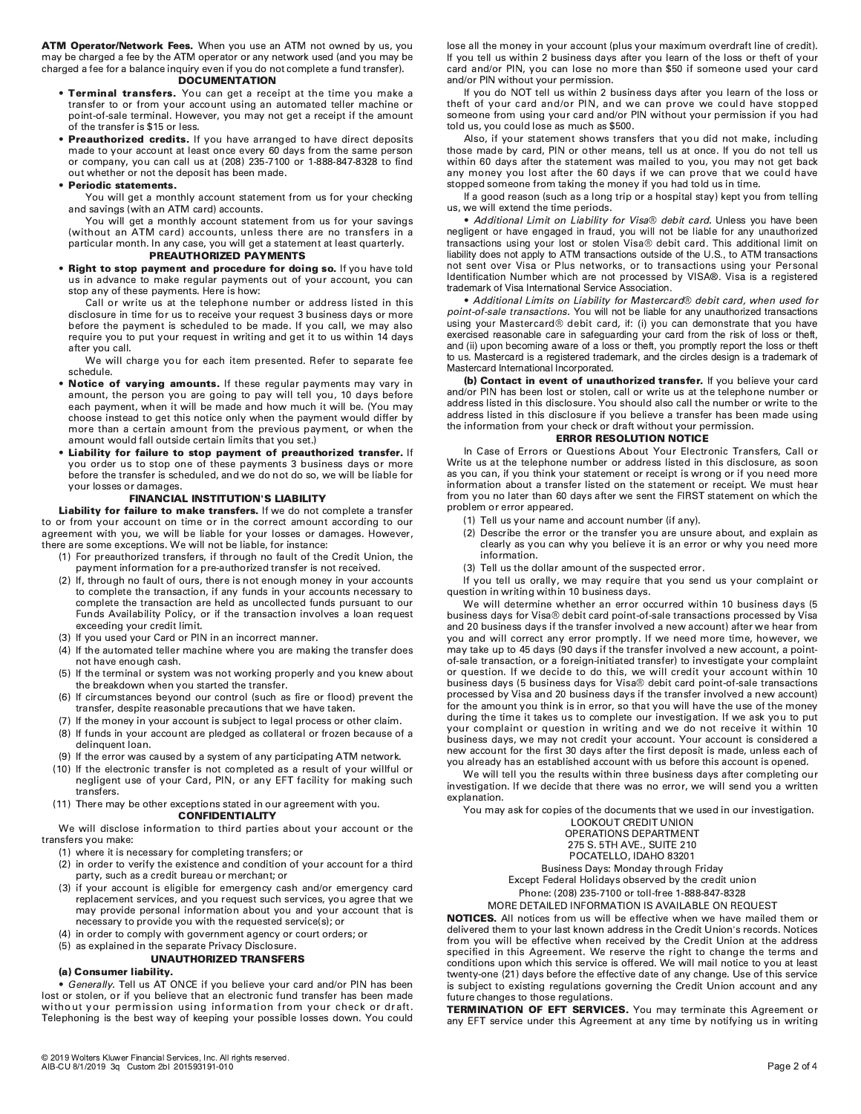ATM Operator/Network Fees. When you use an ATM not owned by us, you may be charged a fee by the ATM operator or any network used (and you may be charged a fee for a balance inquiry even if you do not complete a fund transfer).

## **DOCUMENTATION**

- . Terminal transfers. You can get a receipt at the time you make a transfer to or from your account using an automated teller machine or point-of-sale terminal. However, you may not get a receipt if the amount of the transfer is \$15 or less.
- . Preauthorized credits. If you have arranged to have direct deposits made to your account at least once every 60 days from the same person or company, you can call us at (208) 235-7100 or 1-888-847-8328 to find out whether or not the deposit has been made.

## • Periodic statements.

You will get a monthly account statement from us for your checking and savings (with an ATM card) accounts.

You will get a monthly account statement from us for your savings (without an ATM card) accounts, unless there are no transfers in a particular month. In any case, you will get a statement at least quarterly.

# PREAUTHORIZED PAYMENTS

. Right to stop payment and procedure for doing so. If you have told us in advance to make regular payments out of your account, you can stop any of these payments. Here is how:

Call or write us at the telephone number or address listed in this disclosure in time for us to receive your request 3 business days or more before the payment is scheduled to be made. If you call, we may also require you to put your request in writing and get it to us within 14 days after you call.

We will charge you for each item presented. Refer to separate fee schedule.

- Notice of varying amounts. If these regular payments may vary in amount, the person you are going to pay will tell you, 10 days before each payment, when it will be made and how much it will be. (You may choose instead to get this notice only when the payment would differ by more than a certain amount from the previous payment, or when the amount would fall outside certain limits that you set.)
- Liability for failure to stop payment of preauthorized transfer. If you order us to stop one of these payments 3 business days or more before the transfer is scheduled, and we do not do so, we will be liable for your losses or damages.

## **FINANCIAL INSTITUTION'S LIABILITY**

Liability for failure to make transfers. If we do not complete a transfer to or from your account on time or in the correct amount according to our agreement with you, we will be liable for your losses or damages. However, there are some exceptions. We will not be liable, for instance:

- (1) For preauthorized transfers, if through no fault of the Credit Union, the payment information for a pre-authorized transfer is not received.
- If, through no fault of ours, there is not enough money in your accounts  $(2)$ to complete the transaction, if any funds in your accounts necessary to complete the transaction are held as uncollected funds pursuant to our Funds Availability Policy, or if the transaction involves a loan request exceeding your credit limit.
- (3) If you used your Card or PIN in an incorrect manner.
- (4) If the automated teller machine where you are making the transfer does not have enough cash.
- (5) If the terminal or system was not working properly and you knew about the breakdown when you started the transfer.
- If circumstances beyond our control (such as fire or flood) prevent the  $(6)$ transfer, despite reasonable precautions that we have taken.
- (7) If the money in your account is subject to legal process or other claim.
- (8) If funds in your account are pledged as collateral or frozen because of a delinquent loan.
- (9) If the error was caused by a system of any participating ATM network.
- (10) If the electronic transfer is not completed as a result of your willful or negligent use of your Card, PIN, or any EFT facility for making such transfers.
- (11) There may be other exceptions stated in our agreement with you. **CONFIDENTIALITY**

We will disclose information to third parties about your account or the transfers you make:

(1) where it is necessary for completing transfers; or

- (2) in order to verify the existence and condition of your account for a third party, such as a credit bureau or merchant; or
- $(3)$ if your account is eligible for emergency cash and/or emergency card replacement services, and you request such services, you agree that we may provide personal information about you and your account that is necessary to provide you with the requested service(s); or
- (4) in order to comply with government agency or court orders; or
- (5) as explained in the separate Privacy Disclosure.

# **UNAUTHORIZED TRANSFERS**

# (a) Consumer liability.

Generally. Tell us AT ONCE if you believe your card and/or PIN has been lost or stolen, or if you believe that an electronic fund transfer has been made without your permission using information from your check or draft. Telephoning is the best way of keeping your possible losses down. You could lose all the money in your account (plus your maximum overdraft line of credit). If you tell us within 2 business days after you learn of the loss or theft of your card and/or PIN, you can lose no more than \$50 if someone used your card and/or PIN without your permission.

If you do NOT tell us within 2 business days after you learn of the loss or theft of your card and/or PIN, and we can prove we could have stopped someone from using your card and/or PIN without your permission if you had told us, you could lose as much as \$500.

Also, if your statement shows transfers that you did not make, including those made by card, PIN or other means, tell us at once. If you do not tell us within 60 days after the statement was mailed to you, you may not get back any money you lost after the 60 days if we can prove that we could have stopped someone from taking the money if you had told us in time.

If a good reason (such as a long trip or a hospital stay) kept you from telling us, we will extend the time periods.

• Additional Limit on Liability for Visa® debit card. Unless you have been negligent or have engaged in fraud, you will not be liable for any unauthorized transactions using your lost or stolen Visa® debit card. This additional limit on liability does not apply to ATM transactions outside of the U.S., to ATM transactions not sent over Visa or Plus networks, or to transactions using your Personal Identification Number which are not processed by VISA®. Visa is a registered trademark of Visa International Service Association.

• Additional Limits on Liability for Mastercard® debit card, when used for point-of-sale transactions. You will not be liable for any unauthorized transactions using your Mastercard® debit card, if. (i) you can demonstrate that you have exercised reasonable care in safeguarding your card from the risk of loss or theft, and (ii) upon becoming aware of a loss or theft, you promptly report the loss or theft to us. Mastercard is a registered trademark, and the circles design is a trademark of Mastercard International Incorporated.

(b) Contact in event of unauthorized transfer. If you believe your card and/or PIN has been lost or stolen, call or write us at the telephone number or address listed in this disclosure. You should also call the number or write to the address listed in this disclosure if you believe a transfer has been made using the information from your check or draft without your permission.

# **ERROR RESOLUTION NOTICE**

In Case of Errors or Questions About Your Electronic Transfers, Call or Write us at the telephone number or address listed in this disclosure, as soon as you can, if you think your statement or receipt is wrong or if you need more information about a transfer listed on the statement or receipt. We must hear from you no later than 60 days after we sent the FIRST statement on which the problem or error appeared.

- (1) Tell us your name and account number (if any).
- (2) Describe the error or the transfer you are unsure about, and explain as clearly as you can why you believe it is an error or why you need more information.
- (3) Tell us the dollar amount of the suspected error.

If you tell us orally, we may require that you send us your complaint or question in writing within 10 business days.

We will determine whether an error occurred within 10 business days (5 business days for Visa® debit card point-of-sale transactions processed by Visa and 20 business days if the transfer involved a new account) after we hear from you and will correct any error promptly. If we need more time, however, we may take up to 45 days (90 days if the transfer involved a new account, a pointof-sale transaction, or a foreign-initiated transfer) to investigate your complaint or question. If we decide to do this, we will credit your account within 10 business days (5 business days for Visa® debit card point-of-sale transactions processed by Visa and 20 business days if the transfer involved a new account) .<br>for the amount you think is in error, so that you will have the use of the money during the time it takes us to complete our investigation. If we ask you to put your complaint or question in writing and we do not receive it within 10 business days, we may not credit your account. Your account is considered a new account for the first 30 days after the first deposit is made, unless each of you already has an established account with us before this account is opened.

We will tell you the results within three business days after completing our investigation. If we decide that there was no error, we will send you a written explanation.

You may ask for copies of the documents that we used in our investigation.

LOOKOUT CREDIT UNION OPERATIONS DEPARTMENT 275 S. 5TH AVE., SUITE 210 POCATELLO, IDAHO 83201 Business Days: Monday through Friday Except Federal Holidays observed by the credit union

Phone: (208) 235-7100 or toll-free 1-888-847-8328

MORE DETAILED INFORMATION IS AVAILABLE ON REQUEST

NOTICES. All notices from us will be effective when we have mailed them or delivered them to your last known address in the Credit Union's records. Notices from you will be effective when received by the Credit Union at the address specified in this Agreement. We reserve the right to change the terms and conditions upon which this service is offered. We will mail notice to you at least twenty-one (21) days before the effective date of any change. Use of this service is subject to existing regulations governing the Credit Union account and any future changes to those regulations.

TERMINATION OF EFT SERVICES. You may terminate this Agreement or any EFT service under this Agreement at any time by notifying us in writing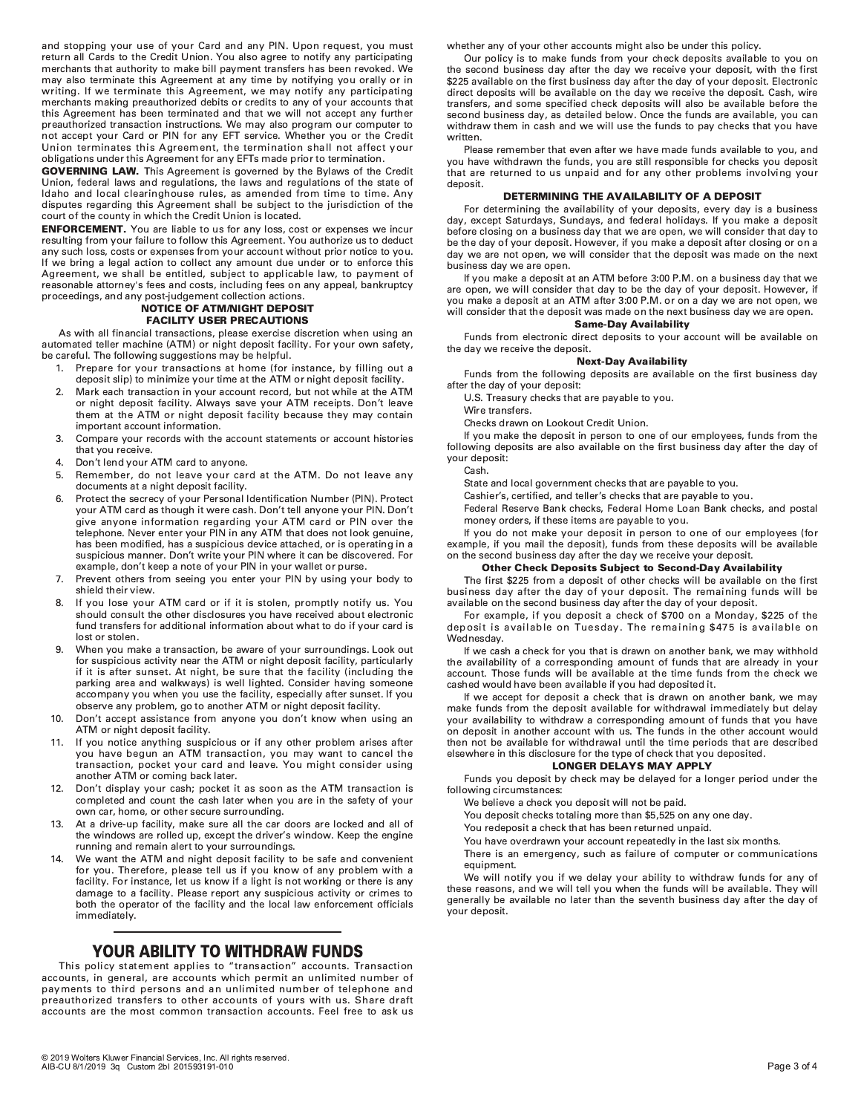and stopping your use of your Card and any PIN. Upon request, you must return all Cards to the Credit Union. You also agree to notify any participating merchants that authority to make bill payment transfers has been revoked. We may also terminate this Agreement at any time by notifying you orally or in writing. If we terminate this Agreement, we may notify any participating merchants making preauthorized debits or credits to any of your accounts that this Agreement has been terminated and that we will not accept any further preauthorized transaction instructions. We may also program our computer to not accept your Card or PIN for any EFT service. Whether you or the Credit Union terminates this Agreement, the termination shall not affect your obligations under this Agreement for any EFTs made prior to termination.

**GOVERNING LAW.** This Agreement is governed by the Bylaws of the Credit Union, federal laws and regulations, the laws and regulations of the state of Idaho and local clearinghouse rules, as amended from time to time. Any disputes regarding this Agreement shall be subject to the jurisdiction of the court of the county in which the Credit Union is located.

**ENFORCEMENT.** You are liable to us for any loss, cost or expenses we incur resulting from your failure to follow this Agreement. You authorize us to deduct any such loss, costs or expenses from your account without prior notice to you. If we bring a legal action to collect any amount due under or to enforce this Agreement, we shall be entitled, subject to applicable law, to payment of reasonable attorney's fees and costs, including fees on any appeal, bankruptcy proceedings, and any post-judgement collection actions.

# **NOTICE OF ATM/NIGHT DEPOSIT FACILITY USER PRECAUTIONS**

As with all financial transactions, please exercise discretion when using an automated teller machine (ATM) or night deposit facility. For your own safety, be careful. The following suggestions may be helpful.

- Prepare for your transactions at home (for instance, by filling out a  $1.$ deposit slip) to minimize your time at the ATM or night deposit facility.
- Mark each transaction in your account record, but not while at the ATM  $\overline{2}$ . or night deposit facility. Always save your ATM receipts. Don't leave them at the ATM or night deposit facility because they may contain important account information.
- Compare your records with the account statements or account histories  $\overline{3}$ that you receive.
- Don't lend your ATM card to anyone.  $\overline{4}$
- Remember, do not leave your card at the ATM. Do not leave any 5. documents at a night deposit facility.
- Protect the secrecy of your Personal Identification Number (PIN). Protect 6. your ATM card as though it were cash. Don't tell anyone your PIN. Don't give anyone information regarding your ATM card or PIN over the telephone. Never enter your PIN in any ATM that does not look genuine, has been modified, has a suspicious device attached, or is operating in a suspicious manner. Don't write your PIN where it can be discovered. For example, don't keep a note of your PIN in your wallet or purse.
- $\overline{7}$ . Prevent others from seeing you enter your PIN by using your body to shield their view.
- If you lose your ATM card or if it is stolen, promptly notify us. You 8 should consult the other disclosures you have received about electronic fund transfers for additional information about what to do if your card is lost or stolen.
- When you make a transaction, be aware of your surroundings. Look out for suspicious activity near the ATM or night deposit facility, particularly if it is after sunset. At night, be sure that the facility (including the parking area and walkways) is well lighted. Consider having someone accompany you when you use the facility, especially after sunset. If you observe any problem, go to another ATM or night deposit facility.
- Don't accept assistance from anyone you don't know when using an 10. ATM or night deposit facility.
- $11.$ If you notice anything suspicious or if any other problem arises after you have begun an ATM transaction, you may want to cancel the transaction, pocket your card and leave. You might consider using another ATM or coming back later.
- $12<sup>2</sup>$ Don't display your cash; pocket it as soon as the ATM transaction is completed and count the cash later when you are in the safety of your own car, home, or other secure surrounding.
- At a drive-up facility, make sure all the car doors are locked and all of 13. the windows are rolled up, except the driver's window. Keep the engine running and remain alert to your surroundings.
- We want the ATM and night deposit facility to be safe and convenient  $14.$ for you. Therefore, please tell us if you know of any problem with a facility. For instance, let us know if a light is not working or there is any damage to a facility. Please report any suspicious activity or crimes to both the operator of the facility and the local law enforcement officials immediately.

# YOUR ABILITY TO WITHDRAW FUNDS

This policy statement applies to "transaction" accounts. Transaction accounts, in general, are accounts which permit an unlimited number of payments to third persons and an unlimited number of telephone and preauthorized transfers to other accounts of yours with us. Share draft accounts are the most common transaction accounts. Feel free to ask us

whether any of your other accounts might also be under this policy.

Our policy is to make funds from your check deposits available to you on the second business day after the day we receive your deposit, with the first \$225 available on the first business day after the day of your deposit. Electronic direct deposits will be available on the day we receive the deposit. Cash, wire transfers, and some specified check deposits will also be available before the second business day, as detailed below. Once the funds are available, you can withdraw them in cash and we will use the funds to pay checks that you have written.

Please remember that even after we have made funds available to you, and you have withdrawn the funds, you are still responsible for checks you deposit that are returned to us unpaid and for any other problems involving your deposit.

# DETERMINING THE AVAILABILITY OF A DEPOSIT

For determining the availability of your deposits, every day is a business day, except Saturdays, Sundays, and federal holidays. If you make a deposit before closing on a business day that we are open, we will consider that day to be the day of your deposit. However, if you make a deposit after closing or on a day we are not open, we will consider that the deposit was made on the next business day we are open.

If you make a deposit at an ATM before 3:00 P.M. on a business day that we are open, we will consider that day to be the day of your deposit. However, if you make a deposit at an ATM after 3:00 P.M. or on a day we are not open, we will consider that the deposit was made on the next business day we are open. **Same-Day Availability** 

Funds from electronic direct deposits to your account will be available on the day we receive the deposit.

# **Next-Day Availability**

Funds from the following deposits are available on the first business day after the day of your deposit:

U.S. Treasury checks that are payable to you.

Wire transfers.

Checks drawn on Lookout Credit Union.

If you make the deposit in person to one of our employees, funds from the following deposits are also available on the first business day after the day of vour deposit:

Cash.

State and local government checks that are payable to you.

Cashier's, certified, and teller's checks that are payable to you.

Federal Reserve Bank checks, Federal Home Loan Bank checks, and postal money orders, if these items are payable to you.

If you do not make your deposit in person to one of our employees (for example, if you mail the deposit), funds from these deposits will be available on the second business day after the day we receive your deposit.

## **Other Check Deposits Subject to Second-Day Availability**

The first \$225 from a deposit of other checks will be available on the first business day after the day of your deposit. The remaining funds will be available on the second business day after the day of your deposit.

For example, if you deposit a check of \$700 on a Monday, \$225 of the deposit is available on Tuesday. The remaining \$475 is available on Wednesdav.

If we cash a check for you that is drawn on another bank, we may withhold the availability of a corresponding amount of funds that are already in your account. Those funds will be available at the time funds from the check we cashed would have been available if you had deposited it.

If we accept for deposit a check that is drawn on another bank, we may make funds from the deposit available for withdrawal immediately but delay your availability to withdraw a corresponding amount of funds that you have on deposit in another account with us. The funds in the other account would then not be available for withdrawal until the time periods that are described elsewhere in this disclosure for the type of check that you deposited.

# **LONGER DELAYS MAY APPLY**

Funds you deposit by check may be delayed for a longer period under the following circumstances:

- We believe a check you deposit will not be paid.
- You deposit checks totaling more than \$5,525 on any one day.
- You redeposit a check that has been returned unpaid.
- You have overdrawn your account repeatedly in the last six months.
- There is an emergency, such as failure of computer or communications equipment.

We will notify you if we delay your ability to withdraw funds for any of these reasons, and we will tell you when the funds will be available. They will generally be available no later than the seventh business day after the day of vour deposit.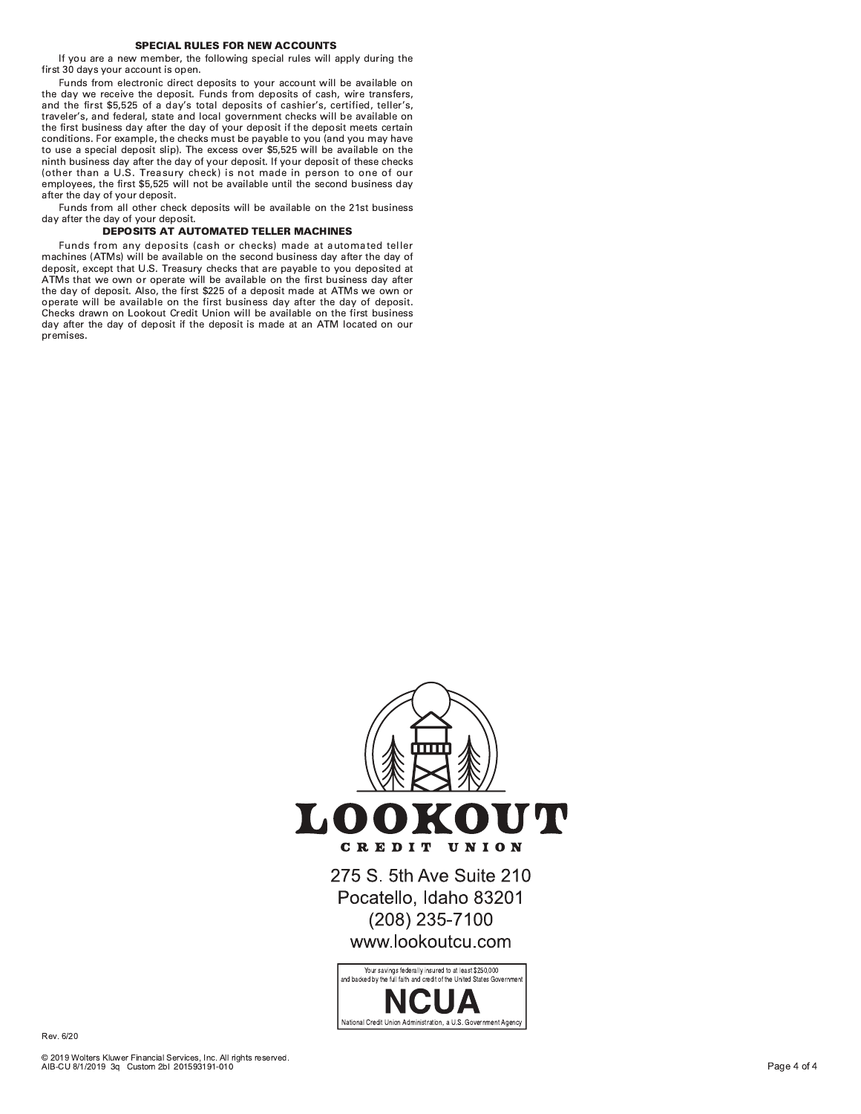# **SPECIAL RULES FOR NEW ACCOUNTS**

If you are a new member, the following special rules will apply during the first 30 days your account is open.

Funds from electronic direct deposits to your account will be available on the day we receive the deposit. Funds from deposits of cash, wire transfers, and the first \$5,525 of a day's total deposits of cashier's, certified, teller's, traveler's, and federal, state and local government checks will be available on the first business day after the day of your deposit if the deposit meets certain conditions. For example, the checks must be payable to you (and you may have to use a special deposit slip). The excess over \$5,525 will be available on the ninth business day after the day of your deposit. If your deposit of these checks (other than a U.S. Treasury check) is not made in person to one of our employees, the first \$5,525 will not be available until the second business day after the day of your deposit.

Funds from all other check deposits will be available on the 21st business day after the day of your deposit.

# **DEPOSITS AT AUTOMATED TELLER MACHINES**

Funds from any deposits (cash or checks) made at automated teller machines (ATMs) will be available on the second business day after the day of deposit, except that U.S. Treasury checks that are payable to you deposited at<br>ATMs that we own or operate will be available on the first business day after the day of deposit. Also, the first \$225 of a deposit made at ATMs we own or operate will be available on the first business day after the day of deposit. Checks drawn on Lookout Credit Union will be available on the first business day after the day of deposit if the deposit is made at an ATM located on our premises.



275 S. 5th Ave Suite 210 Pocatello, Idaho 83201 (208) 235-7100 www.lookoutcu.com



Rev. 6/20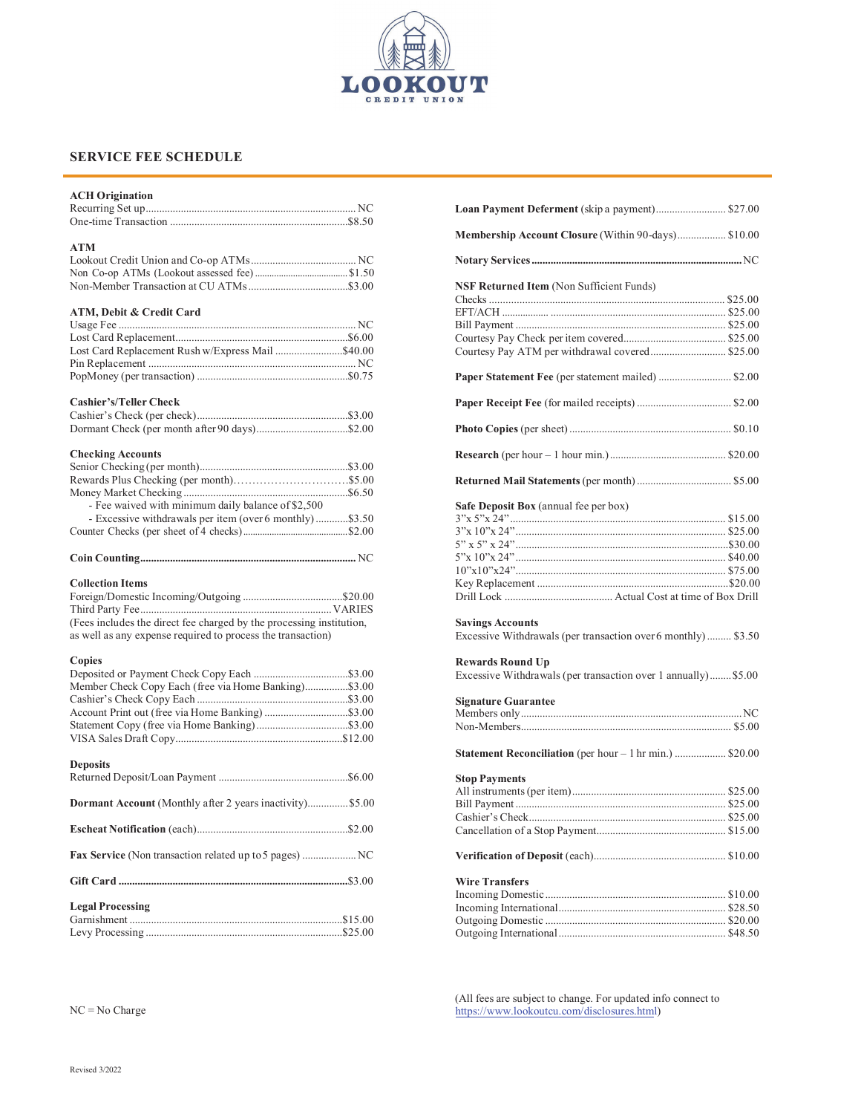

# **SERVICE FEE SCHEDULE**

| <b>ACH Origination</b>                                               |  |
|----------------------------------------------------------------------|--|
| <b>ATM</b>                                                           |  |
|                                                                      |  |
|                                                                      |  |
|                                                                      |  |
| ATM, Debit & Credit Card                                             |  |
|                                                                      |  |
|                                                                      |  |
| Lost Card Replacement Rush w/Express Mail \$40.00                    |  |
|                                                                      |  |
|                                                                      |  |
| <b>Cashier's/Teller Check</b>                                        |  |
|                                                                      |  |
|                                                                      |  |
| <b>Checking Accounts</b>                                             |  |
|                                                                      |  |
|                                                                      |  |
|                                                                      |  |
| - Fee waived with minimum daily balance of \$2,500                   |  |
| - Excessive withdrawals per item (over 6 monthly)\$3.50              |  |
|                                                                      |  |
|                                                                      |  |
|                                                                      |  |
| <b>Collection Items</b>                                              |  |
|                                                                      |  |
|                                                                      |  |
| (Fees includes the direct fee charged by the processing institution, |  |
| as well as any expense required to process the transaction)          |  |
| Copies                                                               |  |
|                                                                      |  |
| Member Check Copy Each (free via Home Banking)\$3.00                 |  |
|                                                                      |  |
|                                                                      |  |
|                                                                      |  |
|                                                                      |  |
| <b>Deposits</b>                                                      |  |
|                                                                      |  |
| Dormant Account (Monthly after 2 years inactivity) \$5.00            |  |
|                                                                      |  |
|                                                                      |  |
| Fax Service (Non transaction related up to 5 pages)  NC              |  |
|                                                                      |  |
| <b>Legal Processing</b>                                              |  |
|                                                                      |  |
|                                                                      |  |
|                                                                      |  |

| Loan Payment Deferment (skip a payment) \$27.00                                           |
|-------------------------------------------------------------------------------------------|
| Membership Account Closure (Within 90-days) \$10.00                                       |
|                                                                                           |
| NSF Returned Item (Non Sufficient Funds)                                                  |
|                                                                                           |
|                                                                                           |
|                                                                                           |
|                                                                                           |
| Courtesy Pay ATM per withdrawal covered \$25.00                                           |
| Paper Statement Fee (per statement mailed)  \$2.00                                        |
|                                                                                           |
|                                                                                           |
|                                                                                           |
|                                                                                           |
| Safe Deposit Box (annual fee per box)                                                     |
|                                                                                           |
|                                                                                           |
|                                                                                           |
|                                                                                           |
|                                                                                           |
|                                                                                           |
| <b>Savings Accounts</b><br>Excessive Withdrawals (per transaction over 6 monthly)  \$3.50 |
|                                                                                           |
| <b>Rewards Round Up</b><br>Excessive Withdrawals (per transaction over 1 annually) \$5.00 |
| <b>Signature Guarantee</b>                                                                |
|                                                                                           |
|                                                                                           |
| Statement Reconciliation (per hour - 1 hr min.)  \$20.00                                  |
| <b>Stop Payments</b>                                                                      |
|                                                                                           |
|                                                                                           |
|                                                                                           |
|                                                                                           |
|                                                                                           |
| <b>Wire Transfers</b>                                                                     |
|                                                                                           |
|                                                                                           |
|                                                                                           |
|                                                                                           |

(All fees are subject to change. For updated info connect to https://www.lookoutcu.com/disclosures.html)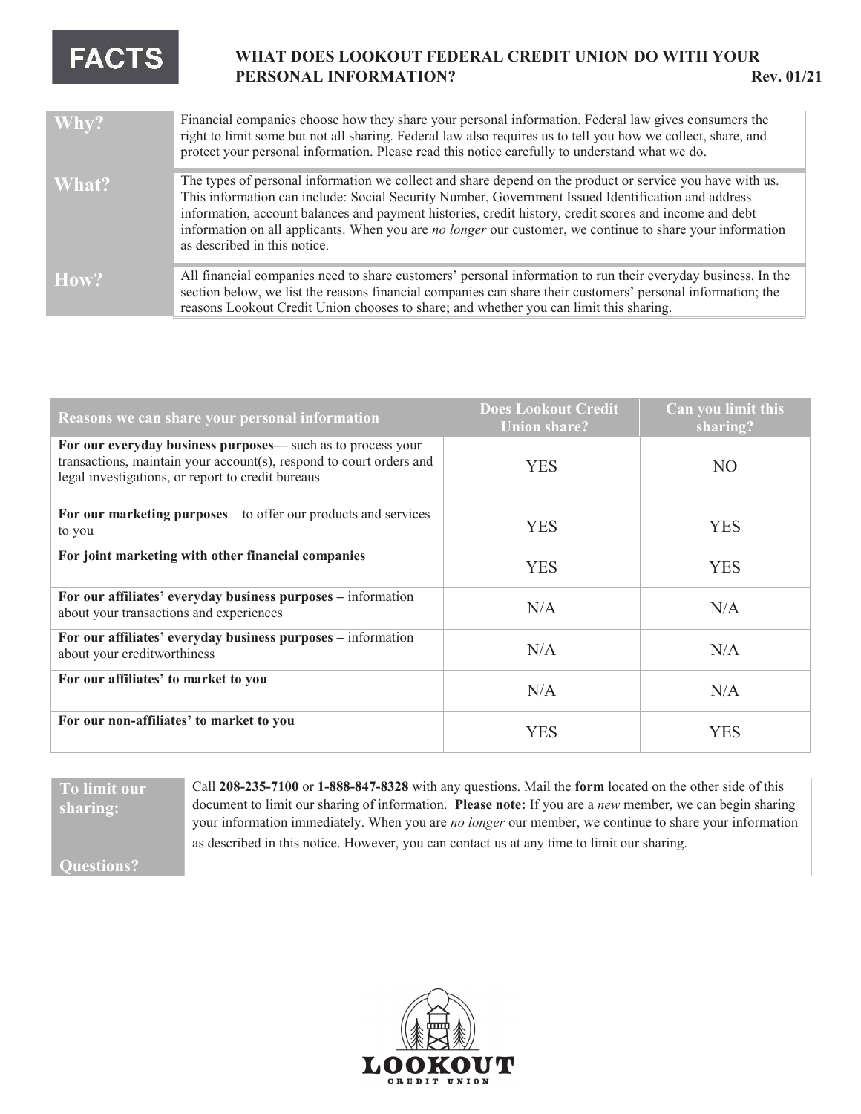# **FACTS**

# **WHAT DOES /22.287 FEDERAL CREDIT UNION DO WITH YOUR PERSONAL INFORMATION? Rev. 01/21**

| Why?  | Financial companies choose how they share your personal information. Federal law gives consumers the<br>right to limit some but not all sharing. Federal law also requires us to tell you how we collect, share, and<br>protect your personal information. Please read this notice carefully to understand what we do.                                                                                                                                                        |
|-------|-------------------------------------------------------------------------------------------------------------------------------------------------------------------------------------------------------------------------------------------------------------------------------------------------------------------------------------------------------------------------------------------------------------------------------------------------------------------------------|
| What? | The types of personal information we collect and share depend on the product or service you have with us.<br>This information can include: Social Security Number, Government Issued Identification and address<br>information, account balances and payment histories, credit history, credit scores and income and debt<br>information on all applicants. When you are <i>no longer</i> our customer, we continue to share your information<br>as described in this notice. |
| How?  | All financial companies need to share customers' personal information to run their everyday business. In the<br>section below, we list the reasons financial companies can share their customers' personal information; the<br>reasons Lookout Credit Union chooses to share; and whether you can limit this sharing.                                                                                                                                                         |

| Reasons we can share your personal information                                                                                                                                          | <b>Does Lookout Credit</b><br><b>Union share?</b> | Can you limit this<br>sharing? |
|-----------------------------------------------------------------------------------------------------------------------------------------------------------------------------------------|---------------------------------------------------|--------------------------------|
| For our everyday business purposes— such as to process your<br>transactions, maintain your account(s), respond to court orders and<br>legal investigations, or report to credit bureaus | <b>YES</b>                                        | N <sub>O</sub>                 |
| For our marketing purposes $-$ to offer our products and services<br>to you                                                                                                             | <b>YES</b>                                        | <b>YES</b>                     |
| For joint marketing with other financial companies                                                                                                                                      | <b>YES</b>                                        | <b>YES</b>                     |
| For our affiliates' everyday business purposes - information<br>about your transactions and experiences                                                                                 | N/A                                               | N/A                            |
| For our affiliates' everyday business purposes - information<br>about your creditworthiness                                                                                             | N/A                                               | N/A                            |
| For our affiliates' to market to you                                                                                                                                                    | N/A                                               | N/A                            |
| For our non-affiliates' to market to you                                                                                                                                                | <b>YES</b>                                        | <b>YES</b>                     |

# **To limit our sharing:**

Call **208-235-7100** or **1-888-847-8328** with any questions. Mail the **form** located on the other side of this document to limit our sharing of information. Please note: If you are a new member, we can begin sharing your information immediately. When you are *no longer* our member, we continue to share your information as described in this notice. However, you can contact us at any time to limit our sharing.

**Questions?**